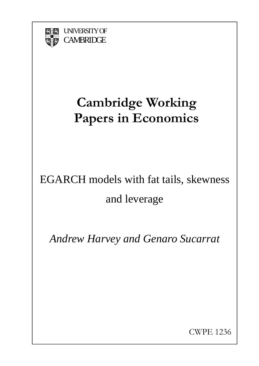

UNIVERSITY OF **CAMBRIDGE** 

# **Cambridge Working Papers in Economics**

# EGARCH models with fat tails, skewness and leverage

*Andrew Harvey and Genaro Sucarrat* 

CWPE 1236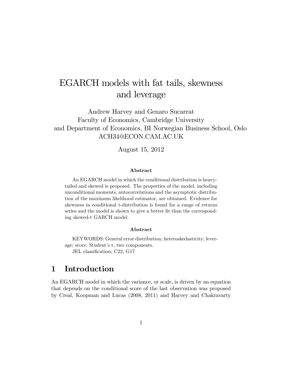# EGARCH models with fat tails, skewness and leverage

Andrew Harvey and Genaro Sucarrat Faculty of Economics, Cambridge University and Department of Economics, BI Norwegian Business School, Oslo ACH34@ECON.CAM.AC.UK

August 15, 2012

#### Abstract

An EGARCH model in which the conditional distribution is heavytailed and skewed is proposed. The properties of the model, including unconditional moments, autocorrelations and the asymptotic distribution of the maximum likelihood estimator, are obtained. Evidence for skewness in conditional t-distribution is found for a range of returns series and the model is shown to give a better fit than the corresponding skewed-t GARCH model.

#### Abstract

KEYWORDS: General error distribution; heteroskedasticity; leverage; score; Student's t, two components. JEL classification; C22, G17

## 1 Introduction

An EGARCH model in which the variance, or scale, is driven by an equation that depends on the conditional score of the last observation was proposed by Creal, Koopman and Lucas (2008, 2011) and Harvey and Chakravarty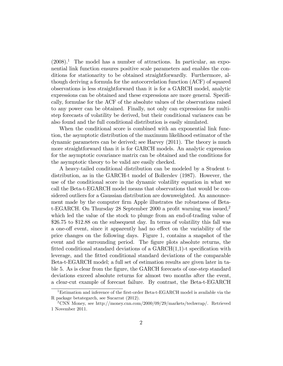$(2008)^1$ . The model has a number of attractions. In particular, an exponential link function ensures positive scale parameters and enables the conditions for stationarity to be obtained straightforwardly. Furthermore, although deriving a formula for the autocorrelation function (ACF) of squared observations is less straightforward than it is for a GARCH model, analytic expressions can be obtained and these expressions are more general. Specifically, formulae for the ACF of the absolute values of the observations raised to any power can be obtained. Finally, not only can expressions for multistep forecasts of volatility be derived, but their conditional variances can be also found and the full conditional distribution is easily simulated.

When the conditional score is combined with an exponential link function, the asymptotic distribution of the maximum likelihood estimator of the dynamic parameters can be derived; see Harvey (2011). The theory is much more straightforward than it is for GARCH models. An analytic expression for the asymptotic covariance matrix can be obtained and the conditions for the asymptotic theory to be valid are easily checked.

A heavy-tailed conditional distribution can be modeled by a Student tdistribution, as in the GARCH-t model of Bollerslev (1987). However, the use of the conditional score in the dynamic volatility equation in what we call the Beta-t-EGARCH model means that observations that would be considered outliers for a Gaussian distribution are downweighted. An announcement made by the computer firm Apple illustrates the robustness of Betat-EGARCH. On Thursday 28 September 2000 a profit warning was issued,<sup>2</sup> which led the value of the stock to plunge from an end-of-trading value of \$26.75 to \$12.88 on the subsequent day. In terms of volatility this fall was a one-off event, since it apparently had no effect on the variability of the price changes on the following days. Figure 1, contains a snapshot of the event and the surrounding period. The figure plots absolute returns, the fitted conditional standard deviations of a  $GARCH(1,1)$ -t specification with leverage, and the Ötted conditional standard deviations of the comparable Beta-t-EGARCH model; a full set of estimation results are given later in table 5. As is clear from the Ögure, the GARCH forecasts of one-step standard deviations exceed absolute returns for almost two months after the event, a clear-cut example of forecast failure. By contrast, the Beta-t-EGARCH

<sup>&</sup>lt;sup>1</sup>Estimation and inference of the first-order Beta-t-EGARCH model is available via the R package betategarch, see Sucarrat (2012).

<sup>&</sup>lt;sup>2</sup>CNN Money, see http://money.cnn.com/2000/09/29/markets/techwrap/. Retrieved 1 November 2011.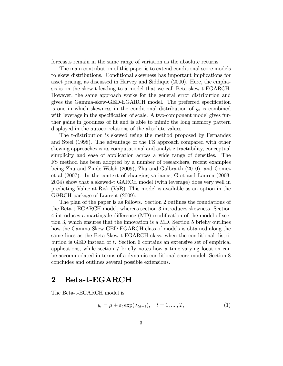forecasts remain in the same range of variation as the absolute returns.

The main contribution of this paper is to extend conditional score models to skew distributions. Conditional skewness has important implications for asset pricing, as discussed in Harvey and Siddique (2000). Here, the emphasis is on the skew-t leading to a model that we call Beta-skew-t-EGARCH. However, the same approach works for the general error distribution and gives the Gamma-skew-GED-EGARCH model. The preferred specification is one in which skewness in the conditional distribution of  $y_t$  is combined with leverage in the specification of scale. A two-component model gives further gains in goodness of fit and is able to mimic the long memory pattern displayed in the autocorrelations of the absolute values.

The t-distribution is skewed using the method proposed by Fernandez and Steel (1998). The advantage of the FS approach compared with other skewing approaches is its computational and analytic tractability, conceptual simplicity and ease of application across a wide range of densities. The FS method has been adopted by a number of researchers, recent examples being Zhu and Zinde-Walsh (2009), Zhu and Galbraith (2010), and Gomez et al (2007). In the context of changing variance, Giot and Laurent(2003, 2004) show that a skewed-t GARCH model (with leverage) does very well in predicting Value-at-Risk (VaR). This model is available as an option in the G@RCH package of Laurent (2009).

The plan of the paper is as follows. Section 2 outlines the foundations of the Beta-t-EGARCH model, whereas section 3 introduces skewness. Section 4 introduces a martingale difference (MD) modification of the model of section 3, which ensures that the innovation is a MD. Section 5 briefly outlines how the Gamma-Skew-GED-EGARCH class of models is obtained along the same lines as the Beta-Skew-t-EGARCH class, when the conditional distribution is GED instead of t. Section 6 contains an extensive set of empirical applications, while section 7 brieáy notes how a time-varying location can be accommodated in terms of a dynamic conditional score model. Section 8 concludes and outlines several possible extensions.

## 2 Beta-t-EGARCH

The Beta-t-EGARCH model is

$$
y_t = \mu + \varepsilon_t \exp(\lambda_{tt-1}), \quad t = 1, ..., T,
$$
 (1)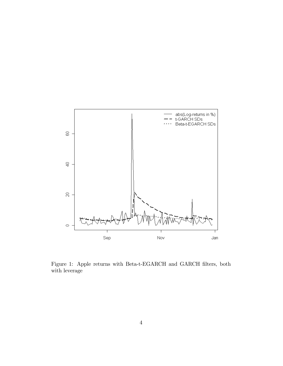

Figure 1: Apple returns with Beta-t-EGARCH and GARCH filters, both with leverage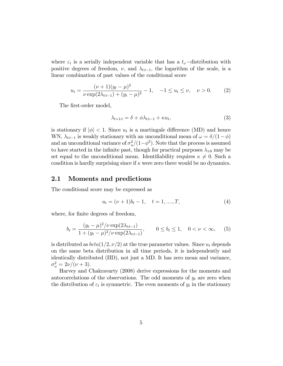where  $\varepsilon_t$  is a serially independent variable that has a  $t_{\nu}$ -distribution with positive degrees of freedom,  $\nu$ , and  $\lambda_{tt-1}$ , the logarithm of the scale, is a linear combination of past values of the conditional score

$$
u_t = \frac{(\nu + 1)(y_t - \mu)^2}{\nu \exp(2\lambda_{tt-1}) + (y_t - \mu)^2} - 1, \quad -1 \le u_t \le \nu, \quad \nu > 0.
$$
 (2)

The first-order model,

$$
\lambda_{t+1:t} = \delta + \phi \lambda_{tt-1} + \kappa u_t, \tag{3}
$$

is stationary if  $|\phi|$  < 1. Since  $u_t$  is a martingale difference (MD) and hence WN,  $\lambda_{tt-1}$  is weakly stationary with an unconditional mean of  $\omega = \delta/(1-\phi)$ and an unconditional variance of  $\sigma_u^2/(1-\phi^2)$ . Note that the process is assumed to have started in the infinite past, though for practical purposes  $\lambda_{10}$  may be set equal to the unconditional mean. Identifiability requires  $\kappa \neq 0$ . Such a condition is hardly surprising since if  $\kappa$  were zero there would be no dynamics.

#### 2.1 Moments and predictions

The conditional score may be expressed as

$$
u_t = (\nu + 1)b_t - 1, \quad t = 1, \dots, T,
$$
\n<sup>(4)</sup>

where, for finite degrees of freedom,

$$
b_t = \frac{(y_t - \mu)^2 / \nu \exp(2\lambda_{t:t-1})}{1 + (y_t - \mu)^2 / \nu \exp(2\lambda_{t:t-1})}, \qquad 0 \le b_t \le 1, \quad 0 < \nu < \infty,
$$
 (5)

is distributed as  $beta(1/2, \nu/2)$  at the true parameter values. Since  $u_t$  depends on the same beta distribution in all time periods, it is independently and identically distributed (IID), not just a MD. It has zero mean and variance,  $\sigma_u^2 = 2\nu/(\nu + 3).$ 

Harvey and Chakravarty (2008) derive expressions for the moments and autocorrelations of the observations. The odd moments of  $y_t$  are zero when the distribution of  $\varepsilon_t$  is symmetric. The even moments of  $y_t$  in the stationary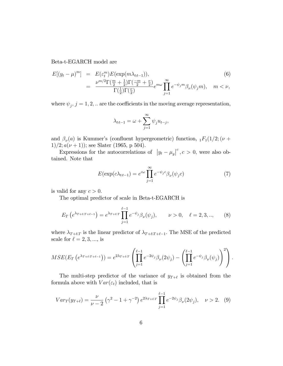Beta-t-EGARCH model are

$$
E[(y_t - \mu)^m] = E(\varepsilon_t^m) E(\exp(m\lambda_{t:t-1})),
$$
\n
$$
= \frac{\nu^{m/2} \Gamma(\frac{m}{2} + \frac{1}{2}) \Gamma(\frac{-m}{2} + \frac{\nu}{2})}{\Gamma(\frac{1}{2}) \Gamma(\frac{\nu}{2})} e^{m\omega} \prod_{j=1}^{\infty} e^{-\psi_j m} \beta_{\nu}(\psi_j m), \quad m < \nu,
$$
\n(6)

where  $\psi_j$ ,  $j = 1, 2, ...$  are the coefficients in the moving average representation,

$$
\lambda_{t:t-1} = \omega + \sum_{j=1}^{\infty} \psi_j u_{t-j},
$$

and  $\beta_{\nu}(a)$  is Kummer's (confluent hypergeometric) function,  $_1F_1(1/2; (\nu +$ 1)/2;  $a(\nu + 1)$ ); see Slater (1965, p 504).

Expressions for the autocorrelations of  $|y_t - \mu_y|^c$ ,  $c > 0$ , were also obtained. Note that

$$
E(\exp(c\lambda_{t:t-1}) = e^{c\omega} \prod_{j=1}^{\infty} e^{-\psi_j c} \beta_{\nu}(\psi_j c)
$$
 (7)

is valid for any  $c > 0$ .

The optimal predictor of scale in Beta-t-EGARCH is

$$
E_T\left(e^{\lambda_{T+\ell T+\ell-1}}\right) = e^{\lambda_{T+\ell T}} \prod_{j=1}^{\ell-1} e^{-\psi_j} \beta_{\nu}(\psi_j), \qquad \nu > 0, \quad \ell = 2, 3, ..., \tag{8}
$$

where  $\lambda_{T + \ell T}$  is the linear predictor of  $\lambda_{T + \ell T + \ell - 1}$ . The MSE of the predicted scale for  $\ell = 2, 3, \dots$ , is

$$
MSE(E_T\left(e^{\lambda_{T+\ell_1 T+\ell-1}}\right)) = e^{2\lambda_{T+\ell_1 T}} \left(\prod_{j=1}^{\ell-1} e^{-2\psi_j} \beta_{\nu}(2\psi_j) - \left(\prod_{j=1}^{\ell-1} e^{-\psi_j} \beta_{\nu}(\psi_j)\right)^2\right).
$$

The multi-step predictor of the variance of  $y_{T+\ell}$  is obtained from the formula above with  $Var(\varepsilon_t)$  included, that is

$$
Var_T(y_{T+\ell}) = \frac{\nu}{\nu - 2} \left( \gamma^2 - 1 + \gamma^{-2} \right) e^{2\lambda_{T+\ell,T}} \prod_{j=1}^{\ell-1} e^{-2\psi_j} \beta_\nu(2\psi_j), \quad \nu > 2. \tag{9}
$$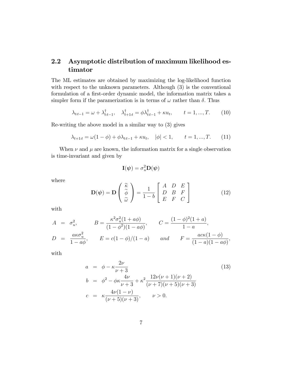## 2.2 Asymptotic distribution of maximum likelihood estimator

The ML estimates are obtained by maximizing the log-likelihood function with respect to the unknown parameters. Although  $(3)$  is the conventional formulation of a first-order dynamic model, the information matrix takes a simpler form if the paramerization is in terms of  $\omega$  rather than  $\delta$ . Thus

$$
\lambda_{t:t-1} = \omega + \lambda_{t:t-1}^{\dagger}, \quad \lambda_{t+1:t}^{\dagger} = \phi \lambda_{t:t-1}^{\dagger} + \kappa u_t, \qquad t = 1, ..., T. \tag{10}
$$

Re-writing the above model in a similar way to (3) gives

$$
\lambda_{t+1:t} = \omega(1-\phi) + \phi \lambda_{t:t-1} + \kappa u_t, \quad |\phi| < 1, \qquad t = 1, ..., T. \tag{11}
$$

When  $\nu$  and  $\mu$  are known, the information matrix for a single observation is time-invariant and given by

$$
\mathbf{I}(\boldsymbol{\psi})=\sigma_u^2\mathbf{D}(\boldsymbol{\psi})
$$

where

$$
\mathbf{D}(\boldsymbol{\psi}) = \mathbf{D} \begin{pmatrix} \widetilde{\kappa} \\ \widetilde{\phi} \\ \widetilde{\omega} \end{pmatrix} = \frac{1}{1-b} \begin{bmatrix} A & D & E \\ D & B & F \\ E & F & C \end{bmatrix}
$$
(12)

with

$$
A = \sigma_u^2, \qquad B = \frac{\kappa^2 \sigma_u^2 (1 + a\phi)}{(1 - \phi^2)(1 - a\phi)}, \qquad C = \frac{(1 - \phi)^2 (1 + a)}{1 - a},
$$
  

$$
D = \frac{a\kappa \sigma_u^2}{1 - a\phi}, \qquad E = c(1 - \phi)/(1 - a) \qquad and \qquad F = \frac{ac\kappa (1 - \phi)}{(1 - a)(1 - a\phi)},
$$

with

$$
a = \phi - \kappa \frac{2\nu}{\nu + 3}
$$
  
\n
$$
b = \phi^2 - \phi \kappa \frac{4\nu}{\nu + 3} + \kappa^2 \frac{12\nu(\nu + 1)(\nu + 2)}{(\nu + 7)(\nu + 5)(\nu + 3)}
$$
  
\n
$$
c = \kappa \frac{4\nu(1 - \nu)}{(\nu + 5)(\nu + 3)}, \qquad \nu > 0.
$$
\n(13)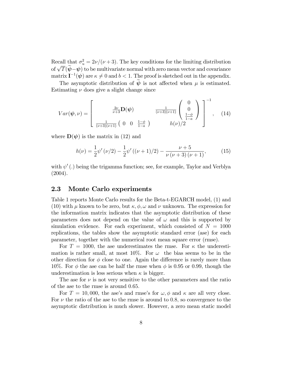Recall that  $\sigma_u^2 = 2\nu/(\nu+3)$ . The key conditions for the limiting distribution of  $\sqrt{T}(\widetilde{\psi}-\psi)$  to be multivariate normal with zero mean vector and covariance matrix  $\mathbf{I}^{-1}(\boldsymbol{\psi})$  are  $\kappa \neq 0$  and  $b < 1$ . The proof is sketched out in the appendix.

The asymptotic distribution of  $\psi$  is not affected when  $\mu$  is estimated. Estimating  $\nu$  does give a slight change since

$$
Var(\boldsymbol{\psi}, \nu) = \begin{bmatrix} \frac{2\nu}{\nu+3} \mathbf{D}(\boldsymbol{\psi}) & \frac{1}{(\nu+3)(\nu+1)} \begin{pmatrix} 0\\0\\ \frac{1-\phi}{1-a} \end{pmatrix}^{-1}, \quad (14)
$$

where  $\mathbf{D}(\boldsymbol{\psi})$  is the matrix in (12) and

$$
h(\nu) = \frac{1}{2}\psi'(\nu/2) - \frac{1}{2}\psi'((\nu+1)/2) - \frac{\nu+5}{\nu(\nu+3)(\nu+1)},
$$
(15)

with  $\psi'$  (.) being the trigamma function; see, for example, Taylor and Verblya  $(2004).$ 

#### 2.3 Monte Carlo experiments

Table 1 reports Monte Carlo results for the Beta-t-EGARCH model, (1) and (10) with  $\mu$  known to be zero, but  $\kappa, \phi, \omega$  and  $\nu$  unknown. The expression for the information matrix indicates that the asymptotic distribution of these parameters does not depend on the value of  $\omega$  and this is supported by simulation evidence. For each experiment, which consisted of  $N = 1000$ replications, the tables show the asymptotic standard error (ase) for each parameter, together with the numerical root mean square error (rmse).

For  $T = 1000$ , the ase underestimates the rmse. For  $\kappa$  the underestimation is rather small, at most 10%. For  $\omega$  the bias seems to be in the other direction for  $\phi$  close to one. Again the difference is rarely more than 10%. For  $\phi$  the ase can be half the rmse when  $\phi$  is 0.95 or 0.99, though the underestimation is less serious when  $\kappa$  is bigger.

The ase for  $\nu$  is not very sensitive to the other parameters and the ratio of the ase to the rmse is around 0:65:

For  $T = 10,000$ , the ase's and rmse's for  $\omega, \phi$  and  $\kappa$  are all very close. For  $\nu$  the ratio of the ase to the rmse is around to 0.8; so convergence to the asymptotic distribution is much slower. However, a zero mean static model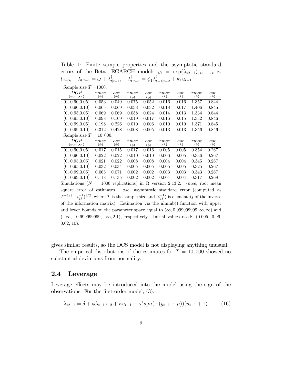Table 1: Finite sample properties and the asymptotic standard errors of the Beta-t-EGARCH model:  $y_t = \exp(\lambda_{t|t-1})\varepsilon_t$ ,  $\varepsilon_t \sim$  $t_{\nu=6}, \quad \lambda_{t|t-1} = \omega + \lambda_{t|t-1}^{\mathsf{T}}, \quad \lambda_{t|t-1}^{\mathsf{T}} = \phi_1 \lambda_{t-1|t-2}^{\mathsf{T}} + \kappa_1 u_{t-1}$ 

| Sample size $T = 1000$ :        |                          |                         |                 |          |                             |                         |                       |               |
|---------------------------------|--------------------------|-------------------------|-----------------|----------|-----------------------------|-------------------------|-----------------------|---------------|
| DGP                             | rmse<br>$(\hat{\omega})$ | ase<br>$(\hat{\omega})$ | rmse            | ase      | rmse<br>$(\hat{\kappa})$    | ase<br>$(\hat{\kappa})$ | rmse<br>$(\hat{\nu})$ | ase           |
| $(\omega, \phi_1, \kappa_1)$    |                          |                         | $(\ddot{\phi})$ | $(\phi)$ |                             |                         |                       | $(\hat{\nu})$ |
| (0, 0.90, 0.05)                 | 0.053                    | 0.049                   | 0.075           | 0.052    | 0.016                       | 0.016                   | 1.357                 | 0.844         |
| (0, 0.90, 0.10)                 | 0.065                    | 0.069                   | 0.038           | 0.032    | 0.018                       | 0.017                   | 1.406                 | 0.845         |
| (0, 0.95, 0.05)                 | 0.069                    | 0.069                   | 0.058           | 0.024    | 0.014                       | 0.013                   | 1.334                 | 0.844         |
| (0, 0.95, 0.10)                 | 0.098                    | 0.109                   | 0.019           | 0.017    | 0.016                       | 0.015                   | 1.332                 | 0.846         |
| (0, 0.99, 0.05)                 | 0.198                    | 0.226                   | 0.010           | 0.006    | 0.010                       | 0.010                   | 1.371                 | 0.845         |
| (0, 0.99, 0.10)                 | 0.312                    | 0.428                   | 0.008           | 0.005    | 0.013                       | 0.013                   | 1.356                 | 0.846         |
| Sample size $T =$               | 10,000:                  |                         |                 |          |                             |                         |                       |               |
| DGP                             | rmse                     | ase                     | rmse            | ase      | rmse                        | ase                     | rmse                  | ase           |
| $(\omega, \phi_1, \kappa_1)$    | $(\hat{\omega})$         | $(\hat{\omega})$        | $(\ddot{\phi})$ | $(\phi)$ | $(\hat{\kappa})$            | $(\hat{\kappa})$        | $(\hat{\nu})$         | $(\hat{\nu})$ |
| (0, 0.90, 0.05)                 | 0.017                    | 0.015                   | 0.017           | 0.016    | 0.005                       | 0.005                   | 0.354                 | 0.267         |
| (0, 0.90, 0.10)                 | 0.022                    | 0.022                   | 0.010           | 0.010    | 0.006                       | 0.005                   | 0.336                 | 0.267         |
| (0, 0.95, 0.05)                 | 0.021                    | 0.022                   | 0.008           | 0.008    | 0.004                       | 0.004                   | 0.345                 | 0.267         |
| (0, 0.95, 0.10)                 | 0.032                    | 0.034                   | 0.005           | 0.005    | 0.005                       | 0.005                   | 0.325                 | 0.267         |
| (0, 0.99, 0.05)                 | 0.065                    | 0.071                   | 0.002           | 0.002    | 0.003                       | 0.003                   | 0.343                 | 0.267         |
| (0, 0.99, 0.10)                 | 0.118                    | 0.135                   | 0.002           | 0.002    | 0.004                       | 0.004                   | 0.317                 | 0.268         |
| $\mathcal{C}$ : mulations<br>ΛT |                          | $= 1000$ repliestional  |                 |          | $\therefore$ D region 0.190 |                         | $\omega$ $\sim$       | $max+max$     |

Simulations  $(N = 1000$  replications) in R version 2.13.2.  $rmse$ , root mean square error of estimates. ase, asymptotic standard error (computed as  $T^{-1/2} \cdot (i_{jj}^{-1})^{1/2}$ , where T is the sample size and  $(i_{jj}^{-1})$  is element jj of the inverse of the information matrix). Estimation via the nlminb() function with upper and lower bounds on the parameter space equal to  $(\infty, 0.999999999, \infty, \infty)$  and  $(-\infty, -0.999999999, -\infty, 2.1)$ , respectively. Initial values used:  $(0.005, 0.96,$ 0.02, 10).

gives similar results, so the DCS model is not displaying anything unusual.

The empirical distributions of the estimates for  $T = 10,000$  showed no substantial deviations from normality.

#### 2.4 Leverage

Leverage effects may be introduced into the model using the sign of the observations. For the first-order model,  $(3)$ ,

$$
\lambda_{t:t-1} = \delta + \phi \lambda_{t-1:t-2} + \kappa u_{t-1} + \kappa^* sgn(- (y_{t-1} - \mu)) (u_{t-1} + 1). \tag{16}
$$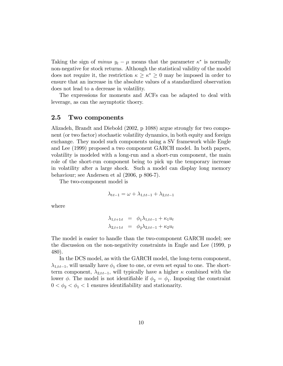Taking the sign of *minus*  $y_t - \mu$  means that the parameter  $\kappa^*$  is normally non-negative for stock returns. Although the statistical validity of the model does not require it, the restriction  $\kappa \geq \kappa^* \geq 0$  may be imposed in order to ensure that an increase in the absolute values of a standardized observation does not lead to a decrease in volatility.

The expressions for moments and ACFs can be adapted to deal with leverage, as can the asymptotic thoery.

#### 2.5 Two components

Alizadeh, Brandt and Diebold (2002, p 1088) argue strongly for two component (or two factor) stochastic volatility dynamics, in both equity and foreign exchange. They model such components using a SV framework while Engle and Lee (1999) proposed a two component GARCH model. In both papers, volatility is modeled with a long-run and a short-run component, the main role of the short-run component being to pick up the temporary increase in volatility after a large shock. Such a model can display long memory behaviour; see Andersen et al (2006, p 806-7).

The two-component model is

$$
\lambda_{t:t-1} = \omega + \lambda_{1,t:t-1} + \lambda_{2,t:t-1}
$$

where

$$
\lambda_{1,t+1:t} = \phi_1 \lambda_{1,t:t-1} + \kappa_1 u_t
$$
  

$$
\lambda_{2,t+1:t} = \phi_2 \lambda_{2,t:t-1} + \kappa_2 u_t
$$

The model is easier to handle than the two-component GARCH model; see the discussion on the non-negativity constraints in Engle and Lee (1999, p 480).

In the DCS model, as with the GARCH model, the long-term component,  $\lambda_{1, t:t-1}$ , will usually have  $\phi_1$  close to one, or even set equal to one. The shortterm component,  $\lambda_{2,tt-1}$ , will typically have a higher  $\kappa$  combined with the lower  $\phi$ . The model is not identifiable if  $\phi_2 = \phi_1$ . Imposing the constraint  $0 < \phi_2 < \phi_1 < 1$  ensures identifiability and stationarity.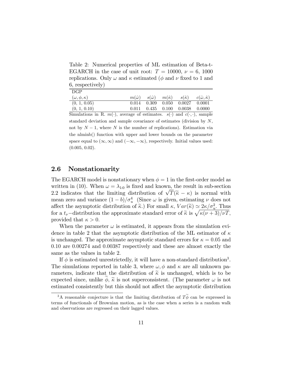Table 2: Numerical properties of ML estimation of Beta-t-EGARCH in the case of unit root:  $T = 10000, \nu = 6, 1000$ replications. Only  $\omega$  and  $\kappa$  estimated ( $\phi$  and  $\nu$  fixed to 1 and 6, respectively)

| DGP                      |       |  |                                                                                                         |          |
|--------------------------|-------|--|---------------------------------------------------------------------------------------------------------|----------|
| $(\omega, \phi, \kappa)$ |       |  | $m(\hat{\omega}) = s(\hat{\omega}) = m(\hat{\kappa}) = s(\hat{\kappa}) = c(\hat{\omega}, \hat{\kappa})$ |          |
| (0, 1, 0.05)             | 0.014 |  | $0.309$ $0.050$ $0.0027$                                                                                | - 0.0001 |
| (0, 1, 0.10)             | 0.011 |  | $0.435$ $0.100$ $0.0038$ $0.0000$                                                                       |          |
|                          |       |  |                                                                                                         |          |

Simulations in R.  $m(\cdot)$ , average of estimates.  $s(\cdot)$  and  $c(\cdot, \cdot)$ , sample standard deviation and sample covariance of estimates (division by N, not by  $N-1$ , where N is the number of replications). Estimation via the nlminb() function with upper and lower bounds on the parameter space equal to  $(\infty,\infty)$  and  $(-\infty,-\infty)$ , respectively. Initial values used:  $(0.005, 0.02)$ .

#### 2.6 Nonstationarity

The EGARCH model is nonstationary when  $\phi = 1$  in the first-order model as written in (10). When  $\omega = \lambda_{10}$  is fixed and known, the result in sub-section 2.2 indicates that the limiting distribution of  $\sqrt{T}(\tilde{\kappa} - \kappa)$  is normal with mean zero and variance  $(1-b)/\sigma_u^4$  (Since  $\omega$  is given, estimating  $\nu$  does not affect the asymptotic distribution of  $\tilde{\kappa}$ .) For small  $\kappa$ ,  $Var(\tilde{\kappa}) \simeq 2\kappa/\sigma_u^2$ . Thus for a  $t_{\nu}$ -distribution the approximate standard error of  $\tilde{\kappa}$  is  $\sqrt{\kappa(\nu+3)/\nu T}$ , provided that  $\kappa > 0$ .

When the parameter  $\omega$  is estimated, it appears from the simulation evidence in table 2 that the asymptotic distribution of the ML estimator of  $\kappa$ is unchanged. The approximate asymptotic standard errors for  $\kappa = 0.05$  and 0:10 are 0:00274 and 0:00387 respectively and these are almost exactly the same as the values in table 2.

If  $\phi$  is estimated unrestrictedly, it will have a non-standard distribution<sup>3</sup>. The simulations reported in table 3, where  $\omega, \phi$  and  $\kappa$  are all unknown parameters, indicate that the distribution of  $\tilde{\kappa}$  is unchanged, which is to be expected since, unlike  $\phi$ ,  $\tilde{\kappa}$  is not superconsistent. (The parameter  $\omega$  is not estimated consistently but this should not affect the asymptotic distribution

<sup>&</sup>lt;sup>3</sup>A reasonable conjecture is that the limiting distribution of  $T\widetilde{\phi}$  can be expressed in terms of functionals of Brownian motion, as is the case when a series is a random walk and observations are regressed on their lagged values.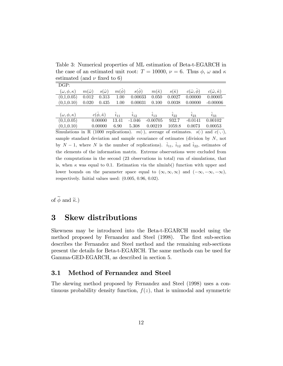Table 3: Numerical properties of ML estimation of Beta-t-EGARCH in the case of an estimated unit root:  $T = 10000$ ,  $\nu = 6$ . Thus  $\phi$ ,  $\omega$  and  $\kappa$ estimated (and  $\nu$  fixed to 6)

| DGP:                     |                   |                               |                 |                |                   |                   |                         |                                 |
|--------------------------|-------------------|-------------------------------|-----------------|----------------|-------------------|-------------------|-------------------------|---------------------------------|
| $(\omega, \phi, \kappa)$ | $m(\hat{\omega})$ | $s(\hat{\omega})$             | $m(\hat{\phi})$ | $s(\phi)$      | $m(\hat{\kappa})$ | $s(\hat{\kappa})$ | $c(\hat{\omega}, \phi)$ | $c(\hat{\omega}, \hat{\kappa})$ |
| (0,1,0.05)               | 0.012             | 0.313                         | 1.00            | 0.00033        | 0.050             | 0.0027            | 0.00000                 | 0.00005                         |
| (0,1,0.10)               | 0.020             | 0.435                         | 1.00            | 0.00031        | 0.100             | 0.0038            | 0.00000                 | $-0.00006$                      |
|                          |                   |                               |                 |                |                   |                   |                         |                                 |
| $(\omega, \phi, \kappa)$ |                   | $c(\hat{\phi}, \hat{\kappa})$ | $\hat{i}_{11}$  | $\hat{i}_{12}$ | $\hat{i}_{13}$    | $\hat{i}_{22}$    | $i_{23}$                | $\hat{i}_{33}$                  |
| (0,1,0.05)               |                   | 0.00000                       | 13.41           | $-1.046$       | $-0.00705$        | 932.7             | $-0.0141$               | 0.00102                         |
| (0,1,0.10)               |                   | 0.00000                       | 6.90            | 5.308          | 0.00219           | 1059.8            | 0.0073                  | 0.00053                         |

Simulations in R (1000 replications).  $m(\cdot)$ , average of estimates.  $s(\cdot)$  and  $c(\cdot, \cdot)$ , sample standard deviation and sample covariance of estimates (division by  $N$ , not by  $N - 1$ , where N is the number of replications).  $\hat{i}_{11}$ ,  $\hat{i}_{12}$  and  $\hat{i}_{22}$ , estimates of the elements of the information matrix. Extreme observations were excluded from the computations in the second (23 observations in total) run of simulations, that is, when  $\kappa$  was equal to 0.1. Estimation via the nlminb() function with upper and lower bounds on the parameter space equal to  $(\infty,\infty,\infty)$  and  $(-\infty,-\infty,-\infty)$ , respectively. Initial values used: (0.005, 0.96, 0.02).

of  $\widetilde{\phi}$  and  $\widetilde{\kappa}$ .)

## 3 Skew distributions

Skewness may be introduced into the Beta-t-EGARCH model using the method proposed by Fernandez and Steel (1998). The first sub-section describes the Fernandez and Steel method and the remaining sub-sections present the details for Beta-t-EGARCH. The same methods can be used for Gamma-GED-EGARCH, as described in section 5.

#### 3.1 Method of Fernandez and Steel

The skewing method proposed by Fernandez and Steel (1998) uses a continuous probability density function,  $f(z)$ , that is unimodal and symmetric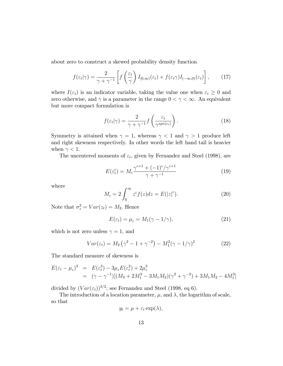about zero to construct a skewed probability density function

$$
f(\varepsilon_t|\gamma) = \frac{2}{\gamma + \gamma^{-1}} \left[ f\left(\frac{\varepsilon_t}{\gamma}\right) I_{[0,\infty)}(\varepsilon_t) + f(\varepsilon_t \gamma) I_{(-\infty,0)}(\varepsilon_t) \right],\tag{17}
$$

where  $I(\varepsilon_t)$  is an indicator variable, taking the value one when  $\varepsilon_t \geq 0$  and zero otherwise, and  $\gamma$  is a parameter in the range  $0 < \gamma < \infty$ . An equivalent but more compact formulation is

$$
f(\varepsilon_t|\gamma) = \frac{2}{\gamma + \gamma^{-1}} f\left(\frac{\varepsilon_t}{\gamma^{sgn(\varepsilon_t)}}\right). \tag{18}
$$

Symmetry is attained when  $\gamma = 1$ , whereas  $\gamma < 1$  and  $\gamma > 1$  produce left and right skewness respectively. In other words the left hand tail is heavier when  $\gamma < 1$ .

The uncentered moments of  $\varepsilon_t$ , given by Fernandez and Steel (1998), are

$$
E(\varepsilon_t^c) = M_c \frac{\gamma^{c+1} + (-1)^c / \gamma^{c+1}}{\gamma + \gamma^{-1}}
$$
\n(19)

where

$$
M_c = 2 \int_0^\infty z^c f(z) dz = E(|z|^c). \tag{20}
$$

Note that  $\sigma_z^2 = Var(z_t) = M_2$ . Hence

$$
E(\varepsilon_t) = \mu_{\varepsilon} = M_1(\gamma - 1/\gamma), \tag{21}
$$

which is not zero unless  $\gamma = 1$ , and

$$
Var(\varepsilon_t) = M_2 (\gamma^2 - 1 + \gamma^{-2}) - M_1^2 (\gamma - 1/\gamma)^2
$$
 (22)

The standard measure of skewness is

$$
E(\varepsilon_t - \mu_\varepsilon)^3 = E(\varepsilon_t^3) - 3\mu_\varepsilon E(\varepsilon_t^2) + 2\mu_\varepsilon^3
$$
  
=  $(\gamma - \gamma^{-1})[(M_3 + 2M_1^3 - 3M_1M_2)(\gamma^2 + \gamma^{-2}) + 3M_1M_2 - 4M_1^3]$ 

divided by  $(Var(\varepsilon_t))^{3/2}$ ; see Fernandez and Steel (1998, eq 6).

The introduction of a location parameter,  $\mu$ , and  $\lambda$ , the logarithm of scale, so that

$$
y_t = \mu + \varepsilon_t \exp(\lambda),
$$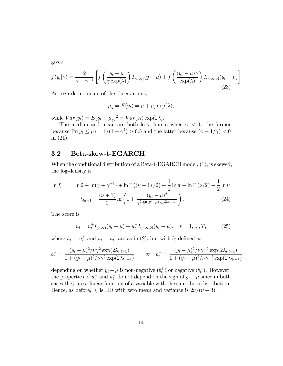gives

$$
f(y_t|\gamma) = \frac{2}{\gamma + \gamma^{-1}} \left[ f\left(\frac{y_t - \mu}{\gamma \exp(\lambda)}\right) I_{[0,\infty)}(y - \mu) + f\left(\frac{(y_t - \mu)\gamma}{\exp(\lambda)}\right) I_{(-\infty,0)}(y_t - \mu) \right]
$$
(23)

As regards moments of the observations,

$$
\mu_y = E(y_t) = \mu + \mu_\varepsilon \exp(\lambda),
$$

while  $Var(y_t) = E(y_t - \mu_y)^2 = Var(\varepsilon_t) \exp(2\lambda).$ 

The median and mean are both less than  $\mu$  when  $\gamma$  < 1, the former because  $Pr(y_t \le \mu) = 1/(1 + \gamma^2) > 0.5$  and the latter because  $(\gamma - 1/\gamma) < 0$ in (21).

#### 3.2 Beta-skew-t-EGARCH

When the conditional distribution of a Beta-t-EGARCH model, (1), is skewed, the log-density is

$$
\ln f_t = \ln 2 - \ln(\gamma + \gamma^{-1}) + \ln \Gamma((\nu + 1)/2) - \frac{1}{2} \ln \pi - \ln \Gamma(\nu/2) - \frac{1}{2} \ln \nu
$$

$$
- \lambda_{tt-1} - \frac{(\nu + 1)}{2} \ln \left( 1 + \frac{(y_t - \mu)^2}{\gamma^{2\text{sgn}(y_t - \mu)} \nu e^{2\lambda_{tt-1}}} \right). \tag{24}
$$

The score is

$$
u_t = u_t^+ I_{[0,\infty)}(y_t - \mu) + u_t^- I_{(-\infty,0)}(y_t - \mu), \quad t = 1, ..., T,
$$
 (25)

where  $u_t = u_t^+$  and  $u_t = u_t^-$  are as in (2), but with  $b_t$  defined as

$$
b_t^+ = \frac{(y_t - \mu)^2 / \nu \gamma^2 \exp(2\lambda_{t|t-1})}{1 + (y_t - \mu)^2 / \nu \gamma^2 \exp(2\lambda_{t|t-1})} \qquad \text{or} \quad b_t^- = \frac{(y_t - \mu)^2 / \nu \gamma^{-2} \exp(2\lambda_{t|t-1})}{1 + (y_t - \mu)^2 / \nu \gamma^{-2} \exp(2\lambda_{t|t-1})}
$$

depending on whether  $y_t - \mu$  is non-negative  $(b_t^+)$  or negative  $(b_t^-)$ . However, the properties of  $u_t^+$  and  $u_t^-$  do not depend on the sign of  $y_t - \mu$  since in both cases they are a linear function of a variable with the same beta distribution. Hence, as before,  $u_t$  is IID with zero mean and variance is  $2\nu/(\nu+3)$ .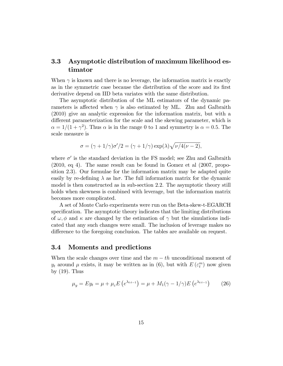### 3.3 Asymptotic distribution of maximum likelihood estimator

When  $\gamma$  is known and there is no leverage, the information matrix is exactly as in the symmetric case because the distribution of the score and its first derivative depend on IID beta variates with the same distribution.

The asymptotic distribution of the ML estimators of the dynamic parameters is affected when  $\gamma$  is also estimated by ML. Zhu and Galbraith (2010) give an analytic expression for the information matrix, but with a different parameterization for the scale and the skewing parameter, which is  $\alpha = 1/(1 + \gamma^2)$ . Thus  $\alpha$  is in the range 0 to 1 and symmetry is  $\alpha = 0.5$ . The scale measure is

$$
\sigma = (\gamma + 1/\gamma)\sigma'/2 = (\gamma + 1/\gamma)\exp(\lambda)\sqrt{\nu/4(\nu - 2)},
$$

where  $\sigma'$  is the standard deviation in the FS model; see Zhu and Galbraith (2010, eq 4). The same result can be found in Gomez et al (2007, proposition 2.3). Our formulae for the information matrix may be adapted quite easily by re-defining  $\lambda$  as ln $\sigma$ . The full information matrix for the dynamic model is then constructed as in sub-section 2.2. The asymptotic theory still holds when skewness is combined with leverage, but the information matrix becomes more complicated.

A set of Monte Carlo experiments were run on the Beta-skew-t-EGARCH specification. The asymptotic theory indicates that the limiting distributions of  $\omega, \phi$  and  $\kappa$  are changed by the estimation of  $\gamma$  but the simulations indicated that any such changes were small. The inclusion of leverage makes no difference to the foregoing conclusion. The tables are available on request.

#### 3.4 Moments and predictions

When the scale changes over time and the  $m - th$  unconditional moment of  $y_t$  around  $\mu$  exists, it may be written as in (6), but with  $E(\varepsilon_t^m)$  now given by  $(19)$ . Thus

$$
\mu_y = Ey_t = \mu + \mu_z E(e^{\lambda_{t:t-1}}) = \mu + M_1(\gamma - 1/\gamma)E(e^{\lambda_{t:t-1}})
$$
 (26)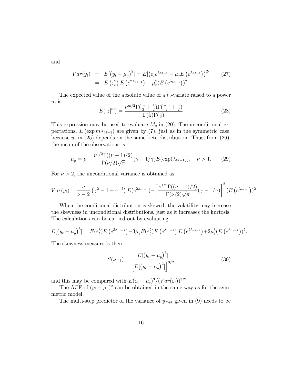and

$$
Var(y_t) = E[(y_t - \mu_y)^2] = E[(\varepsilon_t e^{\lambda_{t:t-1}} - \mu_\varepsilon E(e^{\lambda_{t:t-1}}))]^2]
$$
(27)  
=  $E(\varepsilon_t^2) E(e^{2\lambda_{t:t-1}}) - \mu_\varepsilon^2 (E(e^{\lambda_{t:t-1}}))^2$ .

The expected value of the absolute value of a  $t_{\nu}$ -variate raised to a power m is

$$
E(|z|^m) = \frac{\nu^{m/2} \Gamma(\frac{m}{2} + \frac{1}{2}) \Gamma(\frac{-m}{2} + \frac{\nu}{2})}{\Gamma(\frac{1}{2}) \Gamma(\frac{\nu}{2})}
$$
(28)

This expression may be used to evaluate  $M_c$  in (20). The unconditional expectations,  $E(\exp m\lambda_{tt-1})$  are given by (7), just as in the symmetric case, because  $u_t$  in (25) depends on the same beta distribution. Thus, from (26), the mean of the observations is

$$
\mu_y = \mu + \frac{\nu^{1/2} \Gamma((\nu - 1)/2)}{\Gamma(\nu/2)\sqrt{\pi}} (\gamma - 1/\gamma) E(\exp(\lambda_{t \mid t-1})), \quad \nu > 1.
$$
 (29)

For  $\nu > 2$ , the unconditional variance is obtained as

$$
Var(y_t) = \frac{\nu}{\nu - 2} \left( \gamma^2 - 1 + \gamma^{-2} \right) E(e^{2\lambda_{t:t-1}}) - \left[ \frac{\nu^{1/2} \Gamma((\nu - 1)/2)}{\Gamma(\nu/2) \sqrt{\pi}} (\gamma - 1/\gamma) \right]^2 (E(e^{\lambda_{t:t-1}}))^2.
$$

When the conditional distribution is skewed, the volatility may increase the skewness in unconditional distributions, just as it increases the kurtosis. The calculations can be carried out by evaluating

$$
E[(y_t-\mu_y)^3]=E(\varepsilon_t^3)E(e^{3\lambda_{t\cdot t-1}})-3\mu_\varepsilon E(\varepsilon_t^2)E(e^{\lambda_{t\cdot t-1}})E(e^{2\lambda_{t\cdot t-1}})+2\mu_\varepsilon^3(E(e^{\lambda_{t\cdot t-1}}))^2.
$$

The skewness measure is then

$$
S(\nu, \gamma) = \frac{E[(y_t - \mu_y)^3]}{\left[E[(y_t - \mu_y)^2]\right]^{3/2}}
$$
\n(30)

and this may be compared with  $E(\varepsilon_t - \mu_{\varepsilon})^3/(Var(\varepsilon_t))^{3/2}$ .

The ACF of  $(y_t - \mu_y)^2$  can be obtained in the same way as for the symmetric model.

The multi-step predictor of the variance of  $y_{T+\ell}$  given in (9) needs to be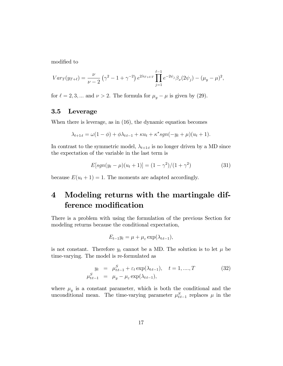modified to

$$
Var_T(y_{T+\ell}) = \frac{\nu}{\nu - 2} \left( \gamma^2 - 1 + \gamma^{-2} \right) e^{2\lambda_{T+\ell,T}} \prod_{j=1}^{\ell-1} e^{-2\psi_j} \beta_{\nu}(2\psi_j) - (\mu_y - \mu)^2,
$$

for  $\ell = 2, 3, \dots$  and  $\nu > 2$ . The formula for  $\mu_y - \mu$  is given by (29).

#### 3.5 Leverage

When there is leverage, as in (16), the dynamic equation becomes

$$
\lambda_{t+1:t} = \omega(1-\phi) + \phi\lambda_{t:t-1} + \kappa u_t + \kappa^* sgn(-y_t + \mu)(u_t + 1).
$$

In contrast to the symmetric model,  $\lambda_{t+1:t}$  is no longer driven by a MD since the expectation of the variable in the last term is

$$
E[sgn(y_t - \mu)(u_t + 1)] = (1 - \gamma^2)/(1 + \gamma^2)
$$
\n(31)

because  $E(u_t + 1) = 1$ . The moments are adapted accordingly.

## 4 Modeling returns with the martingale difference modification

There is a problem with using the formulation of the previous Section for modeling returns because the conditional expectation,

$$
E_{t-1}y_t = \mu + \mu_{\varepsilon} \exp(\lambda_{t|t-1}),
$$

is not constant. Therefore  $y_t$  cannot be a MD. The solution is to let  $\mu$  be time-varying. The model is re-formulated as

$$
y_t = \mu_{tt-1}^S + \varepsilon_t \exp(\lambda_{tt-1}), \quad t = 1, ..., T
$$
  
\n
$$
\mu_{tt-1}^S = \mu_y - \mu_\varepsilon \exp(\lambda_{tt-1}), \qquad (32)
$$

where  $\mu_y$  is a constant parameter, which is both the conditional and the unconditional mean. The time-varying parameter  $\mu_{tt-1}^S$  replaces  $\mu$  in the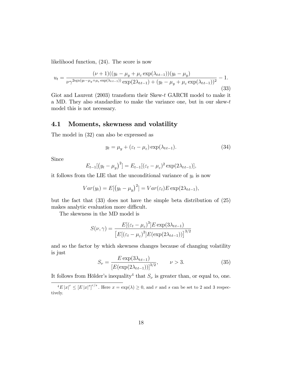likelihood function, (24). The score is now

$$
u_{t} = \frac{(\nu + 1)((y_{t} - \mu_{y} + \mu_{\varepsilon} \exp(\lambda_{t_{t-1}}))(y_{t} - \mu_{y})}{\nu \gamma^{2\text{sgn}(y_{t} - \mu_{y} + \mu_{\varepsilon} \exp(\lambda_{t_{t-1}}))} \exp(2\lambda_{t_{t-1}}) + (y_{t} - \mu_{y} + \mu_{\varepsilon} \exp(\lambda_{t_{t-1}}))^{2}} - 1.
$$
\n(33)

Giot and Laurent (2003) transform their Skew-t GARCH model to make it a MD. They also standardize to make the variance one, but in our skew-t model this is not necessary.

#### 4.1 Moments, skewness and volatility

The model in (32) can also be expressed as

$$
y_t = \mu_y + (\varepsilon_t - \mu_\varepsilon) \exp(\lambda_{tt-1}). \tag{34}
$$

Since

$$
E_{t-1}[(y_t - \mu_y)^2] = E_{t-1}[(\varepsilon_t - \mu_\varepsilon)^2 \exp(2\lambda_{t,t-1})],
$$

it follows from the LIE that the unconditional variance of  $y_t$  is now

$$
Var(y_t) = E[(y_t - \mu_y)^2] = Var(\varepsilon_t)E \exp(2\lambda_{t:t-1}),
$$

but the fact that (33) does not have the simple beta distribution of (25) makes analytic evaluation more difficult.

The skewness in the MD model is

$$
S(\nu, \gamma) = \frac{E[(\varepsilon_t - \mu_{\varepsilon})^3] E \exp(3\lambda_{t:t-1})}{\left[E[(\varepsilon_t - \mu_{\varepsilon})^2] E(\exp(2\lambda_{t:t-1}))\right]^{3/2}}
$$

and so the factor by which skewness changes because of changing volatility is just

$$
S_{\nu} = \frac{E \exp(3\lambda_{t:t-1})}{\left[E(\exp(2\lambda_{t:t-1}))\right]^{3/2}}, \qquad \nu > 3.
$$
 (35)

It follows from Hölder's inequality<sup>4</sup> that  $S_{\nu}$  is greater than, or equal to, one.

 $\frac{4}{\epsilon}E|x|^r \leq [E|x|^s]^{r/s}$ . Here  $x = \exp(\lambda) \geq 0$ , and r and s can be set to 2 and 3 respectively.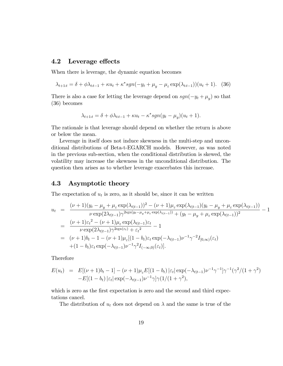#### 4.2 Leverage effects

When there is leverage, the dynamic equation becomes

$$
\lambda_{t+1:t} = \delta + \phi \lambda_{t:t-1} + \kappa u_t + \kappa^* sgn(-y_t + \mu_y - \mu_\varepsilon \exp(\lambda_{t:t-1}))(u_t + 1). \tag{36}
$$

There is also a case for letting the leverage depend on  $sgn(-y_t + \mu_y)$  so that (36) becomes

$$
\lambda_{t+1:t} = \delta + \phi \lambda_{tt-1} + \kappa u_t - \kappa^* sgn(y_t - \mu_y)(u_t + 1).
$$

The rationale is that leverage should depend on whether the return is above or below the mean.

Leverage in itself does not induce skewness in the multi-step and unconditional distributions of Beta-t-EGARCH models. However, as was noted in the previous sub-section, when the conditional distribution is skewed, the volatility may increase the skewness in the unconditional distribution. The question then arises as to whether leverage exacerbates this increase.

#### 4.3 Asymptotic theory

The expectation of  $u_t$  is zero, as it should be, since it can be written

$$
u_{t} = \frac{(\nu + 1)(y_{t} - \mu_{y} + \mu_{\varepsilon} \exp(\lambda_{t|t-1}))^{2} - (\nu + 1)\mu_{\varepsilon} \exp(\lambda_{t|t-1})(y_{t} - \mu_{y} + \mu_{\varepsilon} \exp(\lambda_{t|t-1}))}{\nu \exp(2\lambda_{t|t-1})\gamma^{2\mathrm{sgn}(y_{t} - \mu_{y} + \mu_{\varepsilon} \exp(\lambda_{t|t-1}))} + (y_{t} - \mu_{y} + \mu_{\varepsilon} \exp(\lambda_{t|t-1}))^{2}} - 1
$$
  

$$
= \frac{(\nu + 1)\varepsilon_{t}^{2} - (\nu + 1)\mu_{\varepsilon} \exp(\lambda_{t|t-1})\varepsilon_{t}}{\nu \exp(2\lambda_{t|t-1})\gamma^{2\mathrm{sgn}(\varepsilon_{t})} + \varepsilon_{t}^{2}} - 1
$$
  

$$
= (\nu + 1)b_{t} - 1 - (\nu + 1)\mu_{\varepsilon}[(1 - b_{t})\varepsilon_{t} \exp(-\lambda_{t|t-1})\nu^{-1}\gamma^{-2}I_{[0,\infty)}(\varepsilon_{t}) + (1 - b_{t})\varepsilon_{t} \exp(-\lambda_{t|t-1})\nu^{-1}\gamma^{2}I_{(-\infty,0)}(\varepsilon_{t})].
$$

Therefore

$$
E(u_t) = E[(\nu + 1)b_t - 1] - (\nu + 1)\mu_{\varepsilon}E[(1 - b_t)|\varepsilon_t|\exp(-\lambda_{t|t-1})\nu^{-1}\gamma^{-1}]\gamma^{-1}(\gamma^2/(1 + \gamma^2))
$$
  
-E[(1 - b\_t)|\varepsilon\_t|\exp(-\lambda\_{t|t-1})\nu^{-1}\gamma]\gamma(1/(1 + \gamma^2),

which is zero as the first expectation is zero and the second and third expectations cancel.

The distribution of  $u_t$  does not depend on  $\lambda$  and the same is true of the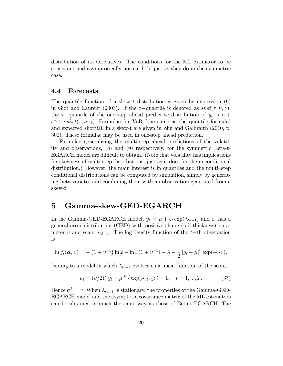distribution of its derivatives. The conditions for the ML estimator to be consistent and asymptotically normal hold just as they do in the symmetric case.

#### 4.4 Forecasts

The quantile function of a skew t distribution is given by expression  $(9)$ in Giot and Laurent (2003). If the  $\tau$ -quantile is denoted as  $skst(\tau, \nu, \gamma)$ , the  $\tau$ -quantile of the one-step ahead predictive distribution of  $y_t$  is  $\mu$  +  $e^{\lambda_{T+1:T}}$ skst $(\tau, \nu, \gamma)$ . Formulae for VaR (the same as the quantile formula) and expected shortfall in a skew-t are given in Zhu and Galbraith (2010, p. 300). These formulae may be used in one-step ahead prediction.

Formulae generalizing the multi-step ahead predictions of the volatility and observations, (8) and (9) respectively, for the symmetric Beta-t-EGARCH model are difficult to obtain. (Note that volatility has implications for skewness of multi-step distributions, just as it does for the unconditional distribution.) However, the main interest is in quantiles and the multi-step conditional distributions can be computed by simulation, simply by generating beta variates and combining them with an observation generated from a skew-t.

### 5 Gamma-skew-GED-EGARCH

In the Gamma-GED-EGARCH model,  $y_t = \mu + \varepsilon_t \exp(\lambda_{t,t-1})$  and  $\varepsilon_t$  has a general error distribution (GED) with positive shape (tail-thickness) parameter v and scale  $\lambda_{tt-1}$ . The log-density function of the t-th observation is

$$
\ln f_t(\alpha, v) = - (1 + v^{-1}) \ln 2 - \ln \Gamma(1 + v^{-1}) - \lambda - \frac{1}{2} |y_t - \mu|^v \exp(-\lambda v),
$$

leading to a model in which  $\lambda_{\text{t}_{\text{t}}-1}$  evolves as a linear function of the score,

$$
u_t = (v/2)(|y_t - \mu|^v / \exp(\lambda_{t,t-1}v) - 1, \quad t = 1, ..., T.
$$
 (37)

Hence  $\sigma_u^2 = v$ . When  $\lambda_{tt-1}$  is stationary, the properties of the Gamma-GED-EGARCH model and the asymptotic covariance matrix of the ML estimators can be obtained in much the same way as those of Beta-t-EGARCH. The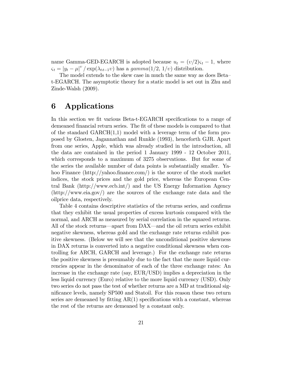name Gamma-GED-EGARCH is adopted because  $u_t = (v/2)\zeta_t - 1$ , where  $\varsigma_t = \left| y_t - \mu \right|^v / \exp(\lambda_{t|t-1}v)$  has a gamma $(1/2, 1/v)$  distribution.

The model extends to the skew case in much the same way as does Betat-EGARCH. The asymptotic theory for a static model is set out in Zhu and Zinde-Walsh (2009).

## 6 Applications

In this section we fit various Beta-t-EGARCH specifications to a range of demeaned financial return series. The fit of these models is compared to that of the standard  $GARCH(1,1)$  model with a leverage term of the form proposed by Glosten, Jagannathan and Runkle (1993), henceforth GJR. Apart from one series, Apple, which was already studied in the introduction, all the data are contained in the period 1 January 1999 - 12 October 2011, which corresponds to a maximum of 3275 observations. But for some of the series the available number of data points is substantially smaller. Yahoo Finance (http://yahoo.finance.com/) is the source of the stock market indices, the stock prices and the gold price, whereas the European Central Bank (http://www.ecb.int/) and the US Energy Information Agency (http://www.eia.gov/) are the sources of the exchange rate data and the oilprice data, respectively.

Table 4 contains descriptive statistics of the returns series, and confirms that they exhibit the usual properties of excess kurtosis compared with the normal, and ARCH as measured by serial correlation in the squared returns. All of the stock returns—apart from DAX—and the oil return series exhibit negative skewness, whereas gold and the exchange rate returns exhibit positive skewness. (Below we will see that the unconditional positive skewness in DAX returns is converted into a negative conditional skewness when controlling for ARCH, GARCH and leverage.) For the exchange rate returns the positive skewness is presumably due to the fact that the more liquid currencies appear in the denominator of each of the three exchange rates: An increase in the exchange rate (say, EUR/USD) implies a depreciation in the less liquid currency (Euro) relative to the more liquid currency (USD). Only two series do not pass the test of whether returns are a MD at traditional significance levels, namely SP500 and Statoil. For this reason these two return series are demeaned by fitting  $AR(1)$  specifications with a constant, whereas the rest of the returns are demeaned by a constant only.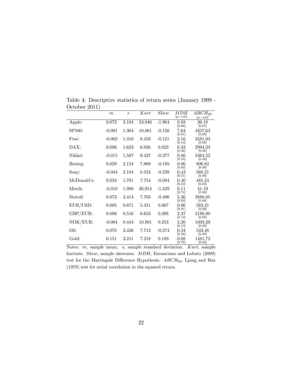|                     | m        | $\mathcal{S}$ | Kurt   | Skew     | MDH<br>$[p-val]$ | $ARCH_{20}$<br>$[p-val]$ |
|---------------------|----------|---------------|--------|----------|------------------|--------------------------|
| Apple:              | 0.072    | 3.104         | 53.846 | $-1.964$ | 0.03<br>[0.86]   | 36.18<br>[0.01]          |
| SP <sub>500</sub> : | $-0.001$ | 1.364         | 10.061 | $-0.156$ | 7.64<br>[0.01]   | 4357.63<br>[0.00]        |
| Ftse:               | $-0.002$ | 1.310         | 8.459  | $-0.121$ | 2.16<br>[0.14]   | 3581.03<br>[0.00]        |
| $\text{DAX:}$       | 0.006    | 1.623         | 6.926  | 0.023    | 0.33<br>[0.56]   | 2994.33<br>[0.00]        |
| Nikkei:             | $-0.015$ | 1.587         | 9.437  | $-0.377$ | 0.86<br>[0.35]   | 3464.52<br>[0.00]        |
| Boeing:             | 0.029    | 2.124         | 7.869  | $-0.185$ | 0.06<br>[0.80]   | 806.82<br>[0.00]         |
| Sony:               | $-0.044$ | 2.184         | 8.524  | $-0.239$ | 0.43<br>[0.51]   | 568.21<br>[0.00]         |
| McDonald's:         | 0.034    | 1.701         | 7.754  | $-0.084$ | 0.40<br>[0.53]   | 485.24<br>[0.00]         |
| Merck:              | $-0.010$ | 1.988         | 26.914 | $-1.429$ | 0.11<br>[0.74]   | 41.19<br>[0.00]          |
| Statoil:            | 0.073    | 2.414         | 7.703  | $-0.496$ | 5.36<br>[0.02]   | 3888.85<br>[0.00]        |
| EUR/USD:            | 0.005    | 0.671         | 5.451  | 0.067    | 0.06<br>[0.81]   | 583.21<br>[0.00]         |
| GBP/EUR:            | 0.006    | 0.516         | 6.653  | 0.398    | 2.37<br>[0.12]   | 2186.80<br>[0.00]        |
| NOK/EUR:            | $-0.004$ | 0.444         | 10.801 | 0.253    | 2.26<br>[0.13]   | 1093.29<br>[0.00]        |
| Oil:                | 0.070    | 2.426         | 7.712  | $-0.274$ | 0.34<br>[0.56]   | 543.48<br>[0.00]         |
| Gold:               | 0.151    | 3.211         | 7.218  | 0.189    | 0.08<br>[0.78]   | 1481.72<br>[0.00]        |

Table 4: Descriptive statistics of return series (January 1999 - October 2011)

Notes: m, sample mean. s, sample standard deviation. Kurt, sample kurtosis. Skew, sample skewness. MDH, Escanciano and Lobato (2009) test for the Martingale Difference Hypothesis.  $ARCH<sub>20</sub>$ , Ljung and Box (1979) test for serial correlation in the squared return.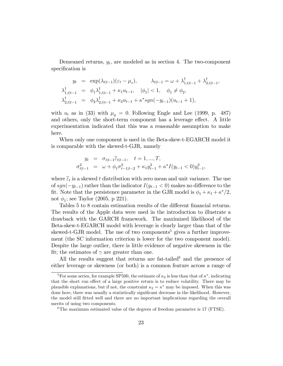Demeaned returns,  $y_t$ , are modeled as in section 4. The two-component specification is

$$
y_t = \exp(\lambda_{t|t-1})(\varepsilon_t - \mu_{\varepsilon}), \qquad \lambda_{t|t-1} = \omega + \lambda_{1,t|t-1}^{\dagger} + \lambda_{2,t|t-1}^{\dagger},
$$
  

$$
\lambda_{1,t|t-1}^{\dagger} = \phi_1 \lambda_{1,t|t-1}^{\dagger} + \kappa_1 u_{t-1}, \quad |\phi_1| < 1, \quad \phi_1 \neq \phi_2,
$$
  

$$
\lambda_{2,t|t-1}^{\dagger} = \phi_2 \lambda_{2,t|t-1}^{\dagger} + \kappa_2 u_{t-1} + \kappa^* sgn(-y_{t-1})(u_{t-1} + 1),
$$

with  $u_t$  as in (33) with  $\mu_y = 0$ . Following Engle and Lee (1999, p. 487) and others, only the short-term component has a leverage effect. A little experimentation indicated that this was a reasonable assumption to make here.

When only one component is used in the Beta-skew-t-EGARCH model it is comparable with the skewed-t-GJR, namely

$$
y_t = \sigma_{t|t-1} \widetilde{\epsilon}_{t|t-1}, \quad t = 1, ..., T,
$$
  

$$
\sigma_{t|t-1}^2 = \omega + \phi_1 \sigma_{t-1|t-2}^2 + \kappa_1 y_{t-1}^2 + \kappa^* I(y_{t-1} < 0) y_{t-1}^2,
$$

where  $\tilde{\epsilon}_t$  is a skewed t distribution with zero mean and unit variance. The use of  $sgn(-y_{t-1})$  rather than the indicator  $I(y_{t-1} < 0)$  makes no difference to the fit. Note that the persistence parameter in the GJR model is  $\phi_1 + \kappa_1 + \kappa^*/2$ , not  $\phi_1$ ; see Taylor (2005, p 221).

Tables 5 to 8 contain estimation results of the different financial returns. The results of the Apple data were used in the introduction to illustrate a drawback with the GARCH framework. The maximized likelihood of the Beta-skew-t-EGARCH model with leverage is clearly larger than that of the skewed-t-GJR model. The use of two components<sup>5</sup> gives a further improvement (the SC information criterion is lower for the two component model). Despite the large outlier, there is little evidence of negative skewness in the fit; the estimates of  $\gamma$  are greater than one.

All the results suggest that returns are fat-tailed<sup>6</sup> and the presence of either leverage or skewness (or both) is a common feature across a range of

<sup>&</sup>lt;sup>5</sup>For some series, for example SP500, the estimate of  $\kappa_2$  is less than that of  $\kappa^*$ , indicating that the short run effect of a large positive return is to reduce volatility. There may be plausible explanations, but if not, the constraint  $\kappa_2 = \kappa^*$  may be imposed. When this was done here, there was usually a statistically significant decrease in the likelihood. However, the model still Ötted well and there are no important implications regarding the overall merits of using two components.

<sup>&</sup>lt;sup>6</sup>The maximum estimated value of the degrees of freedom parameter is  $17$  (FTSE).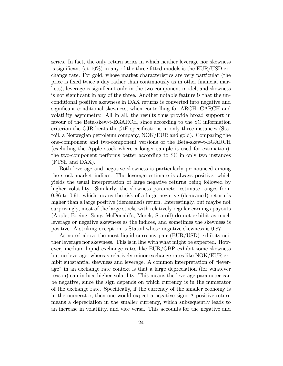series. In fact, the only return series in which neither leverage nor skewness is significant (at  $10\%$ ) in any of the three fitted models is the EUR/USD exchange rate. For gold, whose market characteristics are very particular (the price is Öxed twice a day rather than continuously as in other Önancial markets), leverage is significant only in the two-component model, and skewness is not significant in any of the three. Another notable feature is that the unconditional positive skewness in DAX returns is converted into negative and significant conditional skewness, when controlling for ARCH, GARCH and volatility asymmetry. All in all, the results thus provide broad support in favour of the Beta-skew-t-EGARCH, since according to the SC information criterion the GJR beats the  $\beta$ tE specifications in only three instances (Statoil, a Norwegian petroleum company, NOK/EUR and gold). Comparing the one-component and two-component versions of the Beta-skew-t-EGARCH (excluding the Apple stock where a longer sample is used for estimation), the two-component performs better according to SC in only two instances (FTSE and DAX).

Both leverage and negative skewness is particularly pronounced among the stock market indices. The leverage estimate is always positive, which yields the usual interpretation of large negative returns being followed by higher volatility. Similarly, the skewness parameter estimate ranges from 0.86 to 0.91, which means the risk of a large negative (demeaned) return is higher than a large positive (demeaned) return. Interestingly, but maybe not surprisingly, most of the large stocks with relatively regular earnings payouts (Apple, Boeing, Sony, McDonaldís, Merck, Statoil) do not exhibit as much leverage or negative skewness as the indices, and sometimes the skewness is positive. A striking exception is Statoil whose negative skewness is 0.87.

As noted above the most liquid currency pair (EUR/USD) exhibits neither leverage nor skewness. This is in line with what might be expected. However, medium liquid exchange rates like EUR/GBP exhibit some skewness but no leverage, whereas relatively minor exchange rates like NOK/EUR exhibit substantial skewness and leverage. A common interpretation of "leverage" in an exchange rate context is that a large depreciation (for whatever reason) can induce higher volatility. This means the leverage parameter can be negative, since the sign depends on which currency is in the numerator of the exchange rate. Specifically, if the currency of the smaller economy is in the numerator, then one would expect a negative sign: A positive return means a depreciation in the smaller currency, which subsequently leads to an increase in volatility, and vice versa. This accounts for the negative and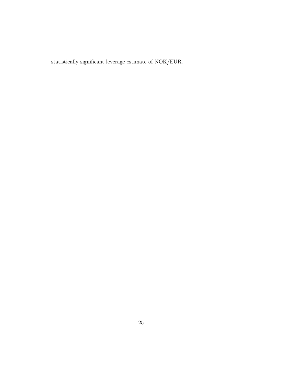statistically significant leverage estimate of NOK/EUR.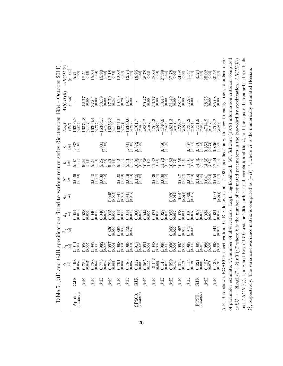| Table 5:                                          | $\beta$ tE | ਦੂ<br>$\Xi$                                                                                                                                                                                                                                                                                                                   | <b>GJR</b>           |                       |                                    |                                                  |                          |                       |                                                |                                    | specifications fitted to various return series (September 1984 - October 2011                   |                                                                                                                                                                                                                                                                                                               |
|---------------------------------------------------|------------|-------------------------------------------------------------------------------------------------------------------------------------------------------------------------------------------------------------------------------------------------------------------------------------------------------------------------------|----------------------|-----------------------|------------------------------------|--------------------------------------------------|--------------------------|-----------------------|------------------------------------------------|------------------------------------|-------------------------------------------------------------------------------------------------|---------------------------------------------------------------------------------------------------------------------------------------------------------------------------------------------------------------------------------------------------------------------------------------------------------------|
|                                                   |            | $\mathcal{F}^{\mathcal{G}}_{\mathcal{G}}$                                                                                                                                                                                                                                                                                     | $\frac{\phi_1}{s e}$ | $\frac{\phi_2}{ se }$ | $\frac{\hat{\mathcal{K}}_1}{[se]}$ | $\hat{\mathcal{K}}_{2}^{\omega}$                 | $\overset{*}{\approx}e]$ | $\hat{\omega}$        | $\widetilde{\widetilde{\mathcal{S}}}_\text{c}$ | $T^{60}T$                          | $\mathbb{A} RCH(\widehat{u})$                                                                   | $(\omega)$<br>ARCH                                                                                                                                                                                                                                                                                            |
|                                                   |            |                                                                                                                                                                                                                                                                                                                               |                      |                       |                                    |                                                  |                          |                       |                                                | (SC)                               | $-va$<br>ġ                                                                                      | $p - val$                                                                                                                                                                                                                                                                                                     |
| $(T=6835)$<br>Apple:                              | GJR        |                                                                                                                                                                                                                                                                                                                               | $0.911$<br>$0.017$   |                       | [0.010]<br>0.054                   |                                                  | $0.029$<br>$[0.014]$     | 5.07<br>70.37         | $1.032$<br>$[0.016]$                           | 16395.2<br>(4.805)                 |                                                                                                 | $5.71$<br>$[0.99]$                                                                                                                                                                                                                                                                                            |
|                                                   | $\beta$ tE |                                                                                                                                                                                                                                                                                                                               | 0.986<br>[0.005]     |                       | 0.038<br>[0.006]                   |                                                  |                          | 5.24<br>$[0.31]$      |                                                | 16374.8<br>(4.797)                 | $42.77$<br>[0.00]                                                                               | 18.51<br>[0.42]                                                                                                                                                                                                                                                                                               |
|                                                   | $\beta$ tE |                                                                                                                                                                                                                                                                                                                               | $0.982$<br>[0.005]   |                       | 0.040<br>[900.0]                   |                                                  | $0.010$<br>$[0.003]$     | $5.24$<br>$[0.31]$    |                                                | 16366.4<br>(4.795)                 | $37.64\phantom{}$ $\phantom{00}^{[0.00]}$                                                       | 15.84<br>[0.54]                                                                                                                                                                                                                                                                                               |
|                                                   | $\beta$ tE |                                                                                                                                                                                                                                                                                                                               | $0.982$<br>$[0.005]$ |                       | 0.040<br>[0.005]                   |                                                  | $0.009$<br>$[0.003]$     | $5.25$<br>$[0.31]$    | $1.031$<br>$[0.016]$                           | 16364.5<br>(4.796)                 |                                                                                                 | $15.90$<br>$[0.53]$                                                                                                                                                                                                                                                                                           |
|                                                   | $\beta$ tE |                                                                                                                                                                                                                                                                                                                               | [100.00]             | $0.830$<br>[0.050]    | $0.015$<br>[0.003]                 | $0.045$<br>[0.007]                               |                          | $5.40$<br>$[0.33]$    |                                                | 16353.3<br>(4.793)                 |                                                                                                 | $12.18$<br>[0.73]                                                                                                                                                                                                                                                                                             |
|                                                   | $\beta$ tE |                                                                                                                                                                                                                                                                                                                               | $0.998$<br>$0.001$   | $0.862$<br>[0.038]    | [0.003]<br>0.014                   | $0.041$<br>$[0.007]$                             | $0.020$<br>[0.04]        | $5.42$<br>$[0.33]$    |                                                | 16341.9<br>(4.791)                 | $\begin{array}{l} 39.39 \\ 10.00 \\ 17.79 \\ 19.29 \\ 19.20 \\ \hline \end{array}$              | $12.88$<br>[0.61]                                                                                                                                                                                                                                                                                             |
|                                                   | $\beta$ tE |                                                                                                                                                                                                                                                                                                                               | 0.998                | .859                  | 0.014<br>[0.003]                   | $0.041$<br>$0.007$                               | $0.019$<br>$[0.004]$     | 5.43                  | 1.031                                          | 16340.0<br>(4.792)                 | $19.34$<br>$[0.20]$                                                                             | $12.74$<br>[0.62]                                                                                                                                                                                                                                                                                             |
| $SPS00:$<br>$(T=3214)$                            | GJR        |                                                                                                                                                                                                                                                                                                                               | [800.0]<br>LTG 0     |                       | 0.000<br>[0.003]                   |                                                  | $0.146$<br>$[0.016]$     | $10.09$<br>[1.69]     | $0.872$<br>[0.020]                             | $-4761.7$<br>(2.978)               |                                                                                                 | $\frac{18.95}{[0.33]}$                                                                                                                                                                                                                                                                                        |
|                                                   | $\beta$ tE |                                                                                                                                                                                                                                                                                                                               | [0.003]<br>0.991     |                       | 0.044<br>[0.005]                   |                                                  |                          | 0.66<br>[1.86]        |                                                | $-4832.2$<br>(3.017)               |                                                                                                 |                                                                                                                                                                                                                                                                                                               |
|                                                   | $\beta$ tE |                                                                                                                                                                                                                                                                                                                               | $0.988$<br>$[0.002]$ |                       | [0.004]<br>0.021                   |                                                  | $0.036$<br>[0.003]       | $\frac{1.32}{[1.71]}$ |                                                | $-4762.3$<br>(2.976)               | loc 95<br>Lu 95<br>LF 06                                                                        |                                                                                                                                                                                                                                                                                                               |
|                                                   | $\beta$ tE |                                                                                                                                                                                                                                                                                                                               | $0.988$<br>$[0.002]$ |                       | $0.027$<br>[0.004]                 |                                                  | $0.039$<br>$[0.003]$     | [1.73]                | $0.860$<br>[0.020]                             | $-4740.9$<br>(2.965)               |                                                                                                 |                                                                                                                                                                                                                                                                                                               |
|                                                   | $\beta$ tE |                                                                                                                                                                                                                                                                                                                               | $0.996$<br>$[0.003]$ | 0.968<br>[0.022]      | 0.025                              | $0.020$<br>$[0.012]$                             |                          | 0.83<br>[1.92]        |                                                | $-4831.3$<br>(3.021)               |                                                                                                 |                                                                                                                                                                                                                                                                                                               |
|                                                   | $\beta tE$ | $\begin{array}{l} 0.017 \\ 0.003 \\ 0.065 \\ 0.011 \\ 0.115 \\ -0.115 \\ -0.014 \\ -0.014 \\ -0.000 \\ -0.000 \\ -0.000 \\ -0.000 \\ -0.000 \\ -0.000 \\ -0.000 \\ -0.000 \\ -0.000 \\ -0.000 \\ -0.000 \\ -0.000 \\ -0.000 \\ -0.000 \\ -0.000 \\ -0.000 \\ -0.000 \\ -0.000 \\ -0.000 \\ -0.000 \\ -0.000 \\ -0.000 \\ -0.$ | 995<br>[0.003]       | $0.957$<br>0.013]     | .028<br>0.011                      | $-0.011$<br>[0.013]                              | $0.005$ <sup>7</sup>     | 0.59<br>[1.64]        |                                                | $-4753.2$<br>(2.975)               | 58.46<br>000 100 100<br>58.27<br>58.27<br>58.38                                                 | $\begin{array}{l} 36.78 \\ 36.1 \\ 36.1 \\ 37.3 \\ 38.1 \\ 39.8 \\ 30.7 \\ 33.9 \\ 36.3 \\ 37.7 \\ 38.3 \\ 39.8 \\ 30.8 \\ 30.8 \\ 30.8 \\ 30.8 \\ 30.8 \\ 30.8 \\ 30.8 \\ 30.8 \\ 30.8 \\ 30.8 \\ 30.8 \\ 30.8 \\ 30.8 \\ 30.8 \\ 30.8 \\ 30.8 \\ 30.8 \\ 30.8 \\ 30.8 \\ 30.8 \\ 30.8 \\ 30.8 \\ 30.8 \\ 3$ |
|                                                   | $\beta$ tE |                                                                                                                                                                                                                                                                                                                               | $0.997$<br>$0.002$   | $.975$<br>$008$       | $0.016$<br>$[0.007]$               | 0.0007                                           | 0.044                    | $11.01$<br>$[1.71]$   | $0.867$<br>$[0.021]$                           | $-4735.2$<br>(2.967)               |                                                                                                 | $31.47$ [0.01]                                                                                                                                                                                                                                                                                                |
| $FTSE:$<br>$(T=3227)$                             | GJR        | $\begin{array}{ l} 0.021 \\[-4pt] 0.004] \\[-4pt] 0.127 \\[-4pt] 0.133 \\[-4pt] 0.133 \\[-4pt] 0.134] \\[-4pt] 0.134] \end{array}$                                                                                                                                                                                            | 0.899                |                       | [0.009]<br>0.007                   |                                                  | $0.160$<br>$[0.020]$     | 14.80<br>[3.09]       | $0.876$<br>[0.023]                             | $-4731.9$<br>(2.948)               |                                                                                                 | $30.24$<br>$[0.02]$                                                                                                                                                                                                                                                                                           |
|                                                   | $\beta$ tE |                                                                                                                                                                                                                                                                                                                               | $0.986$<br>$[0.003]$ |                       | 0.034<br>[0.004]                   |                                                  | $0.041$<br>$[0.004]$     | [4.60]                | $0.853$<br>$[0.022]$                           | $-4714.9$<br>(2.937)               | $38.25$ [0.00]                                                                                  | $25.02$<br>$[0.09]$                                                                                                                                                                                                                                                                                           |
|                                                   | $\beta$ tE |                                                                                                                                                                                                                                                                                                                               | $0.993$<br>[0.004]   | $0.941$<br>$0.014$    | $0.031$<br>$[0.009]$               | $-0.001$<br>[0.011]                              | 0.054                    | $17.24$<br>[4.08]     | 0.866<br>[0.022]                               | 4703.<br>(2.935)                   | $35.08$<br>$[0.00]$                                                                             | $30.58$<br>$[0.01]$                                                                                                                                                                                                                                                                                           |
| $\beta$ tE, Beta-skew-t-EGARCH                    |            |                                                                                                                                                                                                                                                                                                                               | specification.       |                       | GJR.                               | Glosten et al.                                   | (1993                    |                       |                                                | specification with skew-t density. | (se)                                                                                            | standard error                                                                                                                                                                                                                                                                                                |
| of parameter estimate.                            |            |                                                                                                                                                                                                                                                                                                                               |                      |                       |                                    | T, number of observations. LogL, log-likelihood. |                          |                       |                                                |                                    |                                                                                                 | SC, Schwarz (1978) information criterion computed                                                                                                                                                                                                                                                             |
| as SC = $-2\text{Log}L/T$ +                       |            |                                                                                                                                                                                                                                                                                                                               |                      |                       |                                    |                                                  |                          |                       |                                                |                                    | $k(\ln T)/T$ where k is the number of estimated parameters in the log-volatility specification. | $\mathit{ARCH}(\widehat{u}_t)$                                                                                                                                                                                                                                                                                |
| and ${\cal ABCH}(\widehat{\varepsilon}_t),$ Ljung |            |                                                                                                                                                                                                                                                                                                                               |                      |                       |                                    |                                                  |                          |                       |                                                |                                    |                                                                                                 | and Box (1979) test for 20th. order serial correlation of the $\hat{u}_t$ and the squared standardised residuals                                                                                                                                                                                              |

26

 $\frac{2}{3}$ 

 $_i^2$  , respectively. The variance-covariance matrix is computed as  $(-\hat{H})$ 

 $^{-1}$ , where

 $\hat{H}$ 

 $H$  is the numerically estimated Hessian.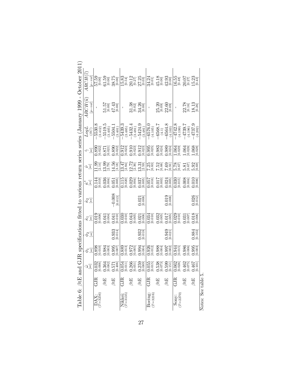| October 2011                                                                | $ARCH(\widehat{\varepsilon})$                                                             | $\frac{\left[\text{p}-val\right]}{57.59}$                                                           | 51.59<br>10.10 | $38.75$<br>[0.00]                                                                                                                                                                                                                                                                                                           | $15.83$<br>[0.54]                                           |                    | $\begin{array}{c} 20.12 \\ 0.27 \\ 27.25 \\ 0.03 \end{array}$ | 34.313<br>45.183 33<br>45.383<br>40.013<br>40.013                                                        |                                                                                   |                                   |                       | $20.07$<br>$15.23$<br>$16.43$                                |                           |
|-----------------------------------------------------------------------------|-------------------------------------------------------------------------------------------|-----------------------------------------------------------------------------------------------------|----------------|-----------------------------------------------------------------------------------------------------------------------------------------------------------------------------------------------------------------------------------------------------------------------------------------------------------------------------|-------------------------------------------------------------|--------------------|---------------------------------------------------------------|----------------------------------------------------------------------------------------------------------|-----------------------------------------------------------------------------------|-----------------------------------|-----------------------|--------------------------------------------------------------|---------------------------|
| d GJR specifications fitted to various return series series (January 1999 - | $\begin{array}{c} \displaystyle{ARCH(\widehat{u})} \\ \displaystyle{[p-val]} \end{array}$ |                                                                                                     |                | $\begin{array}{c} 51.57 \\[-4pt] 10.00 \\[-4pt] 47.43 \\[-4pt] 1.00 \\[-4pt] 1.13 \\[-4pt] 1.13 \\[-4pt] 1.13 \\[-4pt] 1.13 \\[-4pt] 1.13 \\[-4pt] 1.13 \\[-4pt] 1.13 \\[-4pt] 1.13 \\[-4pt] 1.13 \\[-4pt] 1.13 \\[-4pt] 1.13 \\[-4pt] 1.13 \\[-4pt] 1.13 \\[-4pt] 1.13 \\[-4pt] 1.13 \\[-4pt] 1.13 \\[-4pt] 1.13 \\[-4pt]$ | $\mathbf{I}$                                                |                    | $\frac{33.38}{10.02}$                                         |                                                                                                          |                                                                                   | 25.20<br> 0.09 <br>22.60<br> 0.09 | $\mathbf{I}$          |                                                              | 22.78<br>[0.19]<br>[0.28] |
|                                                                             | $\frac{LogL}{SCO}$                                                                        |                                                                                                     |                |                                                                                                                                                                                                                                                                                                                             |                                                             |                    |                                                               |                                                                                                          |                                                                                   |                                   |                       |                                                              |                           |
|                                                                             | $\widetilde{\gamma}_{\text{g}}$                                                           |                                                                                                     |                | 0.8231<br>0.8251 0.8231 0.8251 0.8251 0.8251 0.8251 0.8251 0.8251 0.8251 0.8251 0.8251 0.8251 0.8251 0.8251 0.8251 0.825<br>0.8251 0.8251 0.8251 0.8251 0.8251 0.8251 0.8251 0.8251 0.8251 0.8251 0.8251 0.8251 0.8251 0.8251 0.8251                                                                                        |                                                             |                    |                                                               | 0055<br>0.0353<br>0.035035<br>0.0.03                                                                     |                                                                                   |                                   |                       |                                                              |                           |
|                                                                             | $\hat{\omega}$                                                                            |                                                                                                     |                | 그 <sub>의</sub> 교육 기술 정보 공항 이상의 상황 이 있습니다.<br>영국 영화 정치 선택 정보 일정 정확 이 있습니다.<br>영국 영화 정치 선택 정보 인터넷                                                                                                                                                                                                                             |                                                             |                    |                                                               |                                                                                                          |                                                                                   |                                   |                       |                                                              |                           |
|                                                                             | $\overset{*}{\mathcal{K}}\overset{\circ}{\mathcal{C}}$                                    |                                                                                                     |                | 144<br>0.019<br>0.036<br>0.051<br>0.004                                                                                                                                                                                                                                                                                     |                                                             |                    | $\frac{15}{115}$<br>$0.020$<br>$0.037$<br>$0.037$<br>$0.037$  |                                                                                                          |                                                                                   |                                   |                       | 0300<br>0.015<br>0.004<br>0.010<br>0.000                     |                           |
|                                                                             | $\hat{\mathcal{K}}$ 2 $\stackrel{\odot}{=}$                                               |                                                                                                     |                | $-0.008$                                                                                                                                                                                                                                                                                                                    |                                                             |                    | $0.021$<br>$0.008$                                            |                                                                                                          |                                                                                   | $0.019$<br>$0.008$                |                       |                                                              | 0.026                     |
|                                                                             | $\hat{\kappa}^{\rm e}_{1}$                                                                |                                                                                                     |                | 0.013<br>0.008<br>0.041<br>0.041<br>0.010                                                                                                                                                                                                                                                                                   |                                                             |                    |                                                               | $\overline{)0.034} \phantom{0}0.037 \phantom{0}0.037 \phantom{0}0.010 \phantom{0}0.010 \phantom{0}0.010$ |                                                                                   |                                   |                       | $\overline{)0.029} \atop 0.0101} \atop 0.0071} \atop 0.0181$ |                           |
|                                                                             | $\frac{\partial}{\partial s}$                                                             |                                                                                                     |                | 0.933                                                                                                                                                                                                                                                                                                                       |                                                             |                    | 0.932                                                         |                                                                                                          |                                                                                   | $0.949$<br>$[0.021]$              |                       |                                                              | 0.884                     |
|                                                                             |                                                                                           | $\frac{\phi_{1}}{\phi_{2}}$<br>$\frac{[8e]}{0.398}$<br>$0.0003$<br>$0.0003$<br>$0.0007$<br>$0.0007$ |                |                                                                                                                                                                                                                                                                                                                             |                                                             |                    |                                                               |                                                                                                          | $\begin{array}{c} 0.926 \\ 0.012 \\ 0.088 \\ 0.004 \\ 0.097 \\ 0.002 \end{array}$ |                                   |                       | 1.944<br>1.986<br>0.006<br>0.009<br>0.003                    |                           |
|                                                                             | $\mathcal{F}^{\overline{\mathcal{S}}}_{\overline{\mathcal{S}}}$                           |                                                                                                     |                | e de se relati de de de la segunda de de de                                                                                                                                                                                                                                                                                 |                                                             |                    |                                                               |                                                                                                          |                                                                                   |                                   |                       |                                                              |                           |
|                                                                             |                                                                                           | GJR                                                                                                 | $\beta tE$     | $\beta$ tE                                                                                                                                                                                                                                                                                                                  | GJR                                                         | $\beta\mathrm{tE}$ | $\beta tE$                                                    | GJR                                                                                                      | $\beta\mathrm{tE}$                                                                | $\beta$ tE                        | GJR                   | $\beta$ tE                                                   | $\beta$ tE                |
| Table 6: $\beta$ tE and                                                     |                                                                                           | $\text{DAX:}_{(T=3256)}$                                                                            |                |                                                                                                                                                                                                                                                                                                                             | $\begin{array}{c}\n\text{Nikkei:} \\ (T=3135)\n\end{array}$ |                    |                                                               | Boeing:<br>$(T=3216)$                                                                                    |                                                                                   |                                   | $(T = 2270)$<br>Sony: |                                                              |                           |

Notes: See table 5. Notes: See table 5.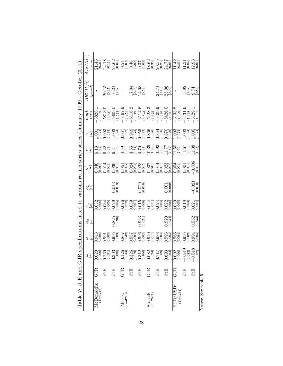| GJR<br>$McDonald's:$<br>$(T=3216)$ |                                                                      |                                           |                             |                                                                          | Table 7: $\beta$ tE and GJR specifications fitted to various return series series (January 1999 - October 2011 |                                                                                                                                                                                                                                                                                                                         |                                                               |                                                                      |                                                                                                                                                                                                                                                                                                                                   | $\textit{ARCH}(\widehat{u})$                                    | $ARCH(\widehat{\varepsilon})$                                                                                                                                                                                                                                                                                       |
|------------------------------------|----------------------------------------------------------------------|-------------------------------------------|-----------------------------|--------------------------------------------------------------------------|----------------------------------------------------------------------------------------------------------------|-------------------------------------------------------------------------------------------------------------------------------------------------------------------------------------------------------------------------------------------------------------------------------------------------------------------------|---------------------------------------------------------------|----------------------------------------------------------------------|-----------------------------------------------------------------------------------------------------------------------------------------------------------------------------------------------------------------------------------------------------------------------------------------------------------------------------------|-----------------------------------------------------------------|---------------------------------------------------------------------------------------------------------------------------------------------------------------------------------------------------------------------------------------------------------------------------------------------------------------------|
|                                    | $\mathcal{F}^{\overline{\mathcal{S}}}_{\overline{\mathcal{C}}}$      | $\phi_1$ $_{[se]}$                        | $\frac{\phi_{2}}{\phi_{2}}$ | $\hat{\kappa}_{1}$ $]$                                                   | $\hat{\mathcal{K}}$ 2 $\stackrel{\odot}{=}$                                                                    | $\overset{*}{\mathscr{L}}\overset{\circ}{\mathscr{Q}}$                                                                                                                                                                                                                                                                  | $\hat{\omega}$                                                | $\widetilde{\left.\left.\left.\right. \right.}_{\mathcal{S}}\right]$ | $LogL$<br>(SC)                                                                                                                                                                                                                                                                                                                    | $[p-val]$                                                       | $_{[p-val]}$                                                                                                                                                                                                                                                                                                        |
|                                    |                                                                      |                                           |                             |                                                                          |                                                                                                                |                                                                                                                                                                                                                                                                                                                         |                                                               |                                                                      |                                                                                                                                                                                                                                                                                                                                   |                                                                 |                                                                                                                                                                                                                                                                                                                     |
| $\beta$ tE                         |                                                                      |                                           |                             |                                                                          |                                                                                                                |                                                                                                                                                                                                                                                                                                                         |                                                               |                                                                      |                                                                                                                                                                                                                                                                                                                                   |                                                                 | $\underset{[0.11]}{24.18}$                                                                                                                                                                                                                                                                                          |
| $\beta tE$                         |                                                                      |                                           | $0.825$<br>[0.098]          |                                                                          | $0.013$ [0.013]                                                                                                | 0.043<br>0.013 3008 3008 3009 300<br>0.03 300 300 300 3000 3000<br>0.02 300 300 3000 3000<br>0.02 300 300 3000 3000                                                                                                                                                                                                     | co co co 40 46 46<br>and co co 60 46 46<br>and co 60 46 46 46 |                                                                      |                                                                                                                                                                                                                                                                                                                                   | $20.15$<br>$16.27$<br>$16.37$                                   | $23.62$ [0.07]                                                                                                                                                                                                                                                                                                      |
| GJR                                |                                                                      |                                           |                             |                                                                          |                                                                                                                |                                                                                                                                                                                                                                                                                                                         |                                                               |                                                                      |                                                                                                                                                                                                                                                                                                                                   |                                                                 |                                                                                                                                                                                                                                                                                                                     |
| $\beta$ tE                         |                                                                      |                                           |                             |                                                                          |                                                                                                                |                                                                                                                                                                                                                                                                                                                         |                                                               |                                                                      |                                                                                                                                                                                                                                                                                                                                   |                                                                 |                                                                                                                                                                                                                                                                                                                     |
| $\beta tE$                         |                                                                      |                                           | $0.963$<br>$[0.021]$        |                                                                          | $0.029$<br>[0.010]                                                                                             |                                                                                                                                                                                                                                                                                                                         |                                                               |                                                                      |                                                                                                                                                                                                                                                                                                                                   | $\begin{array}{c} 17.04 \\ 10.45 \\ 14.08 \\ 10.52 \end{array}$ |                                                                                                                                                                                                                                                                                                                     |
| GJR                                |                                                                      |                                           |                             |                                                                          |                                                                                                                |                                                                                                                                                                                                                                                                                                                         |                                                               |                                                                      |                                                                                                                                                                                                                                                                                                                                   |                                                                 |                                                                                                                                                                                                                                                                                                                     |
| $\beta tE$                         |                                                                      | 0.940<br>0.988<br>0.988<br>0.993<br>0.003 |                             | 0.024<br>0.011<br>0.024<br>0.022<br>0.000                                |                                                                                                                | $\begin{array}{r} 0.037 \\ 0.016 \\ 0.014 \\ 0.003 \\ 0.023 \\ 0.005 \end{array}$                                                                                                                                                                                                                                       |                                                               |                                                                      |                                                                                                                                                                                                                                                                                                                                   |                                                                 |                                                                                                                                                                                                                                                                                                                     |
| $\beta tE$                         |                                                                      |                                           | $0.920$<br>$0.034$          |                                                                          | [0.001]                                                                                                        |                                                                                                                                                                                                                                                                                                                         |                                                               | 0.866<br>0.864<br>0.864<br>0.870<br>0.870                            |                                                                                                                                                                                                                                                                                                                                   | $24.71$<br>$[0.10]$<br>$25.96$<br>$[0.04]$                      | $\begin{array}{c} 18.62 \\[-4pt] 0.35 \\[-4pt] 20.55 \\[-4pt] 24.77 \\[-4pt] 0.31 \\[-4pt] 0.05 \end{array}$                                                                                                                                                                                                        |
| GJR                                | $\frac{0.002}{[0.000]}$                                              | $0.966$<br>0.041                          |                             | $\begin{array}{r} 0.029 \\ 0.005 \\ 0.018 \\ 0.003 \\ 0.004 \end{array}$ |                                                                                                                | $\begin{array}{ l } \hline 1004 \\[-4pt] 0.004 \\[-4pt] 0.007 \\[-4pt] 0.008 \\[-4pt] 0.008 \\[-4pt] 0.008 \\[-4pt] 0.008 \\[-4pt] 0.008 \\[-4pt] 0.008 \\[-4pt] 0.008 \\[-4pt] 0.008 \\[-4pt] 0.008 \\[-4pt] 0.008 \\[-4pt] 0.008 \\[-4pt] 0.008 \\[-4pt] 0.008 \\[-4pt] 0.008 \\[-4pt] 0.008 \\[-4pt] 0.008 \\[-4pt]$ | 0.303<br>10.903 1:30<br>10.903 1:30<br>10.003 1:40            | 0024<br>0.024<br>0.0034<br>0.0034                                    | $\begin{array}{r} -5828.1 \\ -5813.0 \\ -5813.0 \\ -689.0 \\ -689.0 \\ -689.0 \\ -689.0 \\ -689.0 \\ -689.0 \\ -689.0 \\ -689.0 \\ -689.0 \\ -689.0 \\ -689.0 \\ -689.0 \\ -689.0 \\ -689.0 \\ -689.0 \\ -689.0 \\ -689.0 \\ -689.0 \\ -689.0 \\ -689.0 \\ -689.0 \\ -689.0 \\ -689.0 \\ -689.0 \\ -689.0 \\ -689.0 \\ -689.0 \\$ |                                                                 | $\begin{array}{c} 11.42 \\[-4pt] 10.83 \\[-4pt] 11.31 \\[-4pt] 12.93 \\[-4pt] 12.61 \\[-4pt] 12.61 \\[-4pt] 14.81 \\[-4pt] 15.83 \\[-4pt] 16.61 \\[-4pt] 17.83 \\[-4pt] 18.83 \\[-4pt] 19.83 \\[-4pt] 19.83 \\[-4pt] 10.83 \\[-4pt] 10.83 \\[-4pt] 13.83 \\[-4pt] 14.83 \\[-4pt] 10.83 \\[-4pt] 14.83 \\[-4pt] 15.$ |
| $\beta$ tE                         |                                                                      | 0.993<br>0.002<br>0.994<br>0.003          |                             |                                                                          |                                                                                                                |                                                                                                                                                                                                                                                                                                                         |                                                               |                                                                      |                                                                                                                                                                                                                                                                                                                                   | $\begin{array}{c} 3.97 \\ 10.67 \\ 9.84 \\ \hline \end{array}$  |                                                                                                                                                                                                                                                                                                                     |
| $\beta tE$                         | $\begin{array}{r} -0.549 \\  [0.082] \\ -0.548 \\ 0.082 \end{array}$ |                                           | $0.582$<br>$[0.333]$        |                                                                          | $-0.021$                                                                                                       |                                                                                                                                                                                                                                                                                                                         |                                                               |                                                                      |                                                                                                                                                                                                                                                                                                                                   |                                                                 |                                                                                                                                                                                                                                                                                                                     |

| ì |
|---|
|   |
|   |
|   |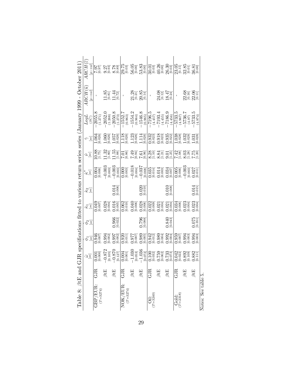|                                                                                         | $\mathit{ARCH}(\widehat{\varepsilon})$<br>$ p-val $                                                                                                                                                                                                                                                                                                                                                                                                                                                                                                                                                                                                      | List<br>26.2             | 0.37<br>0.98<br>0.90<br>0.90          |                                              | $29.75$ [0.03]               | $\begin{matrix} 56.05 \\[-4pt] 0.00 \\[-4pt] 53.83 \\[-4pt] 0.00 \\[-4pt] 0.33 \end{matrix}$ |                            |                           | $\begin{array}{l} 30.01 \\ 30.23 \\ -4.08 \\ \hline 40.00 \\ -3.00 \\ \hline \end{array}$ |                            | $23.05$<br>$[0.15]$             | $\begin{array}{c} 32.85 \\[-4pt] 0.01 \\[-4pt] 36.81 \\[-4pt] 0.00 \\[-4pt] 0.00 \\[-4pt] \end{array}$ |                       |
|-----------------------------------------------------------------------------------------|----------------------------------------------------------------------------------------------------------------------------------------------------------------------------------------------------------------------------------------------------------------------------------------------------------------------------------------------------------------------------------------------------------------------------------------------------------------------------------------------------------------------------------------------------------------------------------------------------------------------------------------------------------|--------------------------|---------------------------------------|----------------------------------------------|------------------------------|----------------------------------------------------------------------------------------------|----------------------------|---------------------------|-------------------------------------------------------------------------------------------|----------------------------|---------------------------------|--------------------------------------------------------------------------------------------------------|-----------------------|
| GJR specifications fitted to various return series series (January 1999 - October 2011) | $\textit{ARCH}(\widehat{u})$<br>$_{[p-val]}$                                                                                                                                                                                                                                                                                                                                                                                                                                                                                                                                                                                                             |                          | $\underset{\left[0.81\right]}{11.85}$ | $11.44$<br>$[0.72]$                          | f,                           | $\begin{array}{c} 21.28 \\ 10.21 \\ 20.85 \\ 10.14 \end{array}$                              |                            | $\mathbf{I}$              | $24.08$<br>[0.12]                                                                         | $18.47$<br>[0.24]          | ı                               | $\frac{22.68}{[0.16]}$<br>22.06                                                                        |                       |
|                                                                                         | LogL<br>(SC)                                                                                                                                                                                                                                                                                                                                                                                                                                                                                                                                                                                                                                             | $-2055.$                 | $-2052.0$<br>(1.268)                  | $-2050.8$<br>(1.273)                         | $-1552.7$<br>(0.963)         | $-1554.2$<br>(0.964)                                                                         | $-1546.8$<br>(0.965)       | $-7196.5$<br>(4.457)      | $-7193.4$<br>(4.455)                                                                      | $-7186.9$<br>(4.456)       | $-5733.5$<br>(4.967)            | $-5736.7$<br>(4.97)                                                                                    | $-5733.5$<br>(4.974)  |
|                                                                                         | $\widetilde{\gamma}_{\mathcal{S}}$                                                                                                                                                                                                                                                                                                                                                                                                                                                                                                                                                                                                                       | $1.064$<br>0.026         | $1.060$<br>$0.026$                    | $1.057$<br>$[0.026]$                         | $\overline{1.118}_{[0.026]}$ | $1.123$<br>[0.026]                                                                           | 1.114<br>[0.026]           | $0.932$<br>[0.023]        | $0.918$<br>[0.023]                                                                        | $0.935$ <sup>[0.022]</sup> | $\overline{1.038}$<br>$[0.028]$ | $1.032$<br>$0.028$                                                                                     | $1.031$<br>$0.028$    |
|                                                                                         | $\hat{\nu}$                                                                                                                                                                                                                                                                                                                                                                                                                                                                                                                                                                                                                                              | $^{10.88}_{[1.75]}$      | $11.32$<br>$[1.80]$                   | $\begin{bmatrix} 1.55 \\ 1.88 \end{bmatrix}$ | $\frac{1}{20.86}$            | <b><i>SAR</i></b><br><i>SAR</i><br><i>SAR</i><br><i>SAR</i><br><i>SAR</i>                    |                            | $8.28$<br>[1.10]          | $8.84$<br>[1.21]                                                                          | $9.01$<br>[1.25]           | $7.42$<br>[1.08]                | $8.03$<br>[1.28]                                                                                       | $7.75$<br>[1.20]      |
|                                                                                         | $\hat{\mathcal{E}}^*_e$                                                                                                                                                                                                                                                                                                                                                                                                                                                                                                                                                                                                                                  | $0.004$<br>[0.006]       | $-0.003$<br>[0.003]                   | $-0.003$ [0.003]                             | $0.000$<br>[0.003]           | $-0.018$<br>[0.004]                                                                          | $-0.037$<br>$50.00 - 0.08$ | $0.035$<br>[0.014]        | $0.014$<br>[0.003]                                                                        | $0.034$<br>[0.007]         | $0.005$<br>[0.006]              | $-0.003$<br>[0.003]                                                                                    | $0.027$<br>[0.011]    |
|                                                                                         | $\hat{\kappa}_{2}$                                                                                                                                                                                                                                                                                                                                                                                                                                                                                                                                                                                                                                       |                          |                                       | $0.014$<br>[0.006]                           |                              |                                                                                              | 0.020                      |                           |                                                                                           | [0.010]                    |                                 |                                                                                                        | $\frac{0.014}{0.015}$ |
|                                                                                         | $[se]% \centering \includegraphics[width=0.47\textwidth]{images/TrDiag-Architecture.png} \caption{The 3-{\scriptsize{5}}% \label{TrDiag-Architecture} \includegraphics[width=0.47\textwidth]{images/TrDiag-Architecture.png} \caption{The 3-{\scriptsize{5}}% \label{TrDiag-Architecture} \includegraphics[width=0.47\textwidth]{images/TrDiag-Architecture.png} \caption{The 3-{\scriptsize{5}}% \label{TrDiag-Architecture} \includegraphics[width=0.47\textwidth]{images/TrDiag-Architecture.png} \caption{The 3-{\scriptsize{5}}% \label{TrDiag-Architecture} \includegraphics[width=0.47\textwidth]{images/TrDiag-Architecture$<br>$\hat{\kappa}_1$ | 0.049<br>0.007           | $0.028$<br>[0.004]                    | $0.016$<br>$[0.005]$                         | $0.062$<br>[0.010]           | $0.040$<br>[0.006]                                                                           | $0.028$<br>[0.006]         | $0.022$<br>[0.09]         | $0.021$<br>$[0.004]$                                                                      | $0.021$<br>$0.004$         | $0.034$<br>$[0.006]$            | $0.023$<br>[0.004]                                                                                     | $0.023$<br>$[0.004]$  |
|                                                                                         | $\frac{\phi_2}{s}$                                                                                                                                                                                                                                                                                                                                                                                                                                                                                                                                                                                                                                       |                          |                                       | $0.966$<br>$[0.022]$                         |                              |                                                                                              | $0.796$<br>$0.088$         |                           |                                                                                           | $0.840$<br>$0.043$         |                                 |                                                                                                        | $\frac{0.075}{0.351}$ |
|                                                                                         | $\overset{\text{\normalsize$o$}}{\\ {}^{[se]}}$                                                                                                                                                                                                                                                                                                                                                                                                                                                                                                                                                                                                          | 0.946<br>0.007           | $0.994$<br>[0.002]                    | $0.997$<br>$[0.002]$                         | $0.920$<br>$[0.011]$         | $^{[2000]}_{L\text{LO}}$                                                                     | $0.989$<br>[0.005]         | $0.942$<br>[0.012]        | $0.989$<br>$0.004$                                                                        | $0.992$<br>$[0.004]$       | $0.959$<br>[0.007]              | 0.994<br>Note                                                                                          | $0.994$<br>$0.003$    |
|                                                                                         | $\mathcal{F}^{\mathcal{G}}_{\mathcal{G}}$                                                                                                                                                                                                                                                                                                                                                                                                                                                                                                                                                                                                                | [0.000]<br>0.001         | $\frac{-0.872}{[0.105]}$              | $-0.870$<br>[0.127]                          | 0.004                        | $\begin{array}{r} -1.030 \\  \  \  \, 0.053 \\ -1.036 \end{array}$                           | [0.072]                    | $0.100$<br>$[0.032]$      | $0.759$<br>$[0.062]$                                                                      | $0.733$<br>[0.073]         | $0.042$<br>$[0.022]$            | $0.892$<br>$[0.109]$                                                                                   | $0.882$<br>$[0.111]$  |
|                                                                                         |                                                                                                                                                                                                                                                                                                                                                                                                                                                                                                                                                                                                                                                          | GJR                      | $\beta tE$                            | $\beta\text{tE}$                             | GJR                          | $\beta tE$                                                                                   | $\beta\text{tE}$           | GJR                       | $\beta$ tE                                                                                | $\beta\text{tE}$           | GJR                             | $\beta$ tE                                                                                             | $\beta$ tE            |
| Table 8: $\beta$ tE and                                                                 |                                                                                                                                                                                                                                                                                                                                                                                                                                                                                                                                                                                                                                                          | GBP/EUR.<br>$(T = 3274)$ |                                       |                                              | NOK/EUR:<br>$(T = 3274)$     |                                                                                              |                            | $\frac{O_{11}}{(T=3240)}$ |                                                                                           |                            | $Gold:$<br>$(T=2318)$           |                                                                                                        |                       |

| ı |
|---|
|   |
| Š |
|   |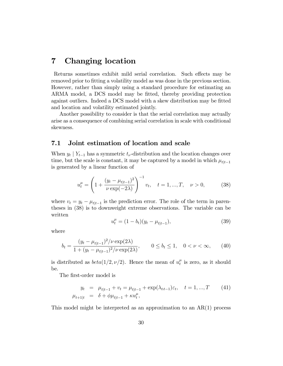## 7 Changing location

Returns sometimes exhibit mild serial correlation. Such effects may be removed prior to fitting a volatility model as was done in the previous section. However, rather than simply using a standard procedure for estimating an ARMA model, a DCS model may be fitted, thereby providing protection against outliers. Indeed a DCS model with a skew distribution may be fitted and location and volatility estimated jointly.

Another possibility to consider is that the serial correlation may actually arise as a consequence of combining serial correlation in scale with conditional skewness.

#### 7.1 Joint estimation of location and scale

When  $y_t | Y_{t-1}$  has a symmetric  $t_{\nu}$ -distribution and the location changes over time, but the scale is constant, it may be captured by a model in which  $\mu_{t|t-1}$ is generated by a linear function of

$$
u_t^{\mu} = \left(1 + \frac{(y_t - \mu_{t|t-1})^2}{\nu \exp(-2\lambda)}\right)^{-1} v_t, \quad t = 1, ..., T, \quad \nu > 0,
$$
 (38)

where  $v_t = y_t - \mu_{t|t-1}$  is the prediction error. The role of the term in parentheses in (38) is to downweight extreme observations. The variable can be written

$$
u_t^{\mu} = (1 - b_t)(y_t - \mu_{t|t-1}), \tag{39}
$$

where

$$
b_t = \frac{(y_t - \mu_{t|t-1})^2 / \nu \exp(2\lambda)}{1 + (y_t - \mu_{t|t-1})^2 / \nu \exp(2\lambda)}, \qquad 0 \le b_t \le 1, \quad 0 < \nu < \infty,\tag{40}
$$

is distributed as  $beta(1/2, \nu/2)$ . Hence the mean of  $u_t^{\mu}$  $t$ <sup> $\mu$ </sup> is zero, as it should be.

The first-order model is

$$
y_t = \mu_{t|t-1} + v_t = \mu_{t|t-1} + \exp(\lambda_{t|t-1})\varepsilon_t, \quad t = 1, ..., T \qquad (41)
$$
  

$$
\mu_{t+1|t} = \delta + \phi \mu_{t|t-1} + \kappa u_t^{\mu},
$$

This model might be interpreted as an approximation to an  $AR(1)$  process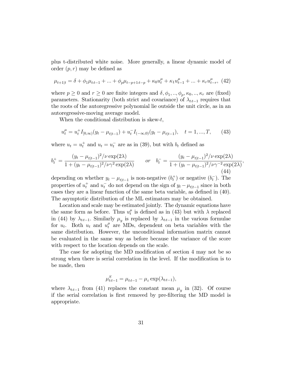plus t-distributed white noise. More generally, a linear dynamic model of order  $(p, r)$  may be defined as

$$
\mu_{t+1|t} = \delta + \phi_1 \mu_{tt-1} + \dots + \phi_p \mu_{t-p+1|t-p} + \kappa_0 u_t^{\mu} + \kappa_1 u_{t-1}^{\mu} + \dots + \kappa_r u_{t-r}^{\mu}, \tag{42}
$$

where  $p \ge 0$  and  $r \ge 0$  are finite integers and  $\delta, \phi_1, ..., \phi_p, \kappa_0, ..., \kappa_r$  are (fixed) parameters. Stationarity (both strict and covariance) of  $\lambda_{tt-1}$  requires that the roots of the autoregressive polynomial lie outside the unit circle, as in an autoregressive-moving average model.

When the conditional distribution is skew- $t$ ,

$$
u_t^{\mu} = u_t^+ I_{[0,\infty)}(y_t - \mu_{t|t-1}) + u_t^- I_{(-\infty,0)}(y_t - \mu_{t|t-1}), \quad t = 1, ..., T,
$$
 (43)

where  $u_t = u_t^+$  and  $u_t = u_t^-$  are as in (39), but with  $b_t$  defined as

$$
b_t^+ = \frac{(y_t - \mu_{t|t-1})^2/\nu \exp(2\lambda)}{1 + (y_t - \mu_{t|t-1})^2/\nu \gamma^2 \exp(2\lambda)} \qquad \text{or} \quad b_t^- = \frac{(y_t - \mu_{t|t-1})^2/\nu \exp(2\lambda)}{1 + (y_t - \mu_{t|t-1})^2/\nu \gamma^{-2} \exp(2\lambda)},\tag{44}
$$

depending on whether  $y_t - \mu_{t|t-1}$  is non-negative  $(b_t^+)$  or negative  $(b_t^-)$ . The properties of  $u_t^+$  and  $u_t^-$  do not depend on the sign of  $y_t - \mu_{t|t-1}$  since in both cases they are a linear function of the same beta variable, as defined in  $(40)$ . The asymptotic distribution of the ML estimators may be obtained.

Location and scale may be estimated jointly. The dynamic equations have the same form as before. Thus  $u_t^{\mu}$  $t<sub>t</sub><sup>\mu</sup>$  is defined as in (43) but with  $\lambda$  replaced in (44) by  $\lambda_{tt-1}$ . Similarly  $\mu_y$  is replaced by  $\lambda_{tt-1}$  in the various formulae for  $u_t$ . Both  $u_t$  and  $u_t^{\mu}$  are MDs, dependent on beta variables with the same distribution. However, the unconditional information matrix cannot be evaluated in the same way as before because the variance of the score with respect to the location depends on the scale.

The case for adopting the MD modification of section 4 may not be so strong when there is serial correlation in the level. If the modification is to be made, then

$$
\mu_{t:t-1}^S = \mu_{t:t-1} - \mu_{\varepsilon} \exp(\lambda_{t:t-1}),
$$

where  $\lambda_{tt-1}$  from (41) replaces the constant mean  $\mu_y$  in (32). Of course if the serial correlation is first removed by pre-filtering the MD model is appropriate.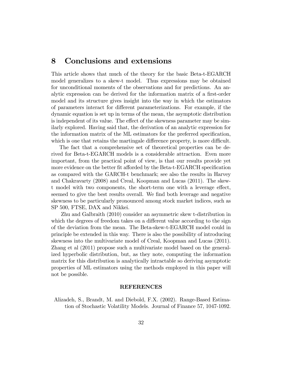## 8 Conclusions and extensions

This article shows that much of the theory for the basic Beta-t-EGARCH model generalizes to a skew-t model. Thus expressions may be obtained for unconditional moments of the observations and for predictions. An analytic expression can be derived for the information matrix of a first-order model and its structure gives insight into the way in which the estimators of parameters interact for different parameterizations. For example, if the dynamic equation is set up in terms of the mean, the asymptotic distribution is independent of its value. The effect of the skewness parameter may be similarly explored. Having said that, the derivation of an analytic expression for the information matrix of the ML estimators for the preferred specification, which is one that retains the martingale difference property, is more difficult.

The fact that a comprehensive set of theoretical properties can be derived for Beta-t-EGARCH models is a considerable attraction. Even more important, from the practical point of view, is that our results provide yet more evidence on the better fit afforded by the Beta-t-EGARCH specification as compared with the GARCH-t benchmark; see also the results in Harvey and Chakravarty (2008) and Creal, Koopman and Lucas (2011). The skewt model with two components, the short-term one with a leverage effect, seemed to give the best results overall. We find both leverage and negative skewness to be particularly pronounced among stock market indices, such as SP 500, FTSE, DAX and Nikkei.

Zhu and Galbraith (2010) consider an asymmetric skew t-distribution in which the degrees of freedom takes on a different value according to the sign of the deviation from the mean. The Beta-skew-t-EGARCH model could in principle be extended in this way. There is also the possibility of introducing skewness into the multivariate model of Creal, Koopman and Lucas (2011). Zhang et al (2011) propose such a multivariate model based on the generalized hyperbolic distribution, but, as they note, computing the information matrix for this distribution is analytically intractable so deriving asymptotic properties of ML estimators using the methods employed in this paper will not be possible.

#### REFERENCES

Alizadeh, S., Brandt, M. and Diebold, F.X. (2002). Range-Based Estimation of Stochastic Volatility Models. Journal of Finance 57, 1047-1092.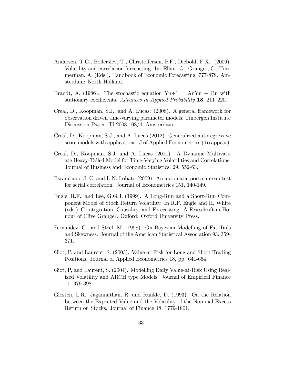- Andersen, T.G., Bollerslev, T., Christoffersen, P.F., Diebold, F.X.: (2006). Volatility and correlation forecasting. In: Elliot, G., Granger, C., Timmerman, A. (Eds.), Handbook of Economic Forecasting, 777-878. Amsterdam: North Holland.
- Brandt, A. (1986). The stochastic equation  $Y_{n+1} = A_n Y_n + B_n$  with stationary coefficients. Advances in Applied Probability  $18$ ,  $211-220$ .
- Creal, D., Koopman, S.J., and A. Lucas: (2008). A general framework for observation driven time-varying parameter models, Tinbergen Institute Discussion Paper, TI 2008-108/4, Amsterdam.
- Creal, D., Koopman, S.J., and A. Lucas (2012). Generalized autoregressive score models with applications. J of Applied Econometrics ( to appear).
- Creal, D., Koopman, S.J. and A. Lucas (2011). A Dynamic Multivariate Heavy-Tailed Model for Time-Varying Volatilities and Correlations, Journal of Business and Economic Statistics, 29, 552-63.
- Escanciano, J. C. and I. N. Lobato (2009). An automatic portmanteau test for serial correlation. Journal of Econometrics 151, 140-149.
- Engle, R.F., and Lee, G.G.J. (1999). A Long-Run and a Short-Run Component Model of Stock Return Volatility. In R.F. Engle and H. White (eds.) Cointegration, Causality, and Forecasting: A Festschrift in Honour of Clive Granger. Oxford: Oxford University Press.
- Fernández, C., and Steel, M. (1998). On Bayesian Modelling of Fat Tails and Skewness. Journal of the American Statistical Association 93, 359- 371.
- Giot, P. and Laurent, S. (2003). Value at Risk for Long and Short Trading Positions. Journal of Applied Econometrics 18, pp. 641-664.
- Giot, P, and Laurent, S. (2004). Modelling Daily Value-at-Risk Using Realized Volatility and ARCH type Models. Journal of Empirical Finance 11, 379-398.
- Glosten, L.R., Jagannathan, R. and Runkle, D. (1993). On the Relation between the Expected Value and the Volatility of the Nominal Excess Return on Stocks. Journal of Finance 48, 1779-1801.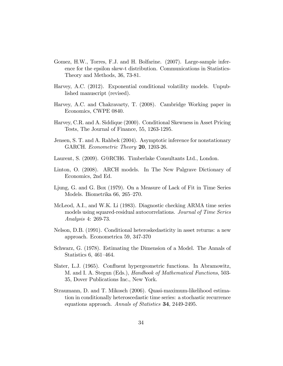- Gomez, H.W., Torres, F.J. and H. Bolfarine. (2007). Large-sample inference for the epsilon skew-t distribution. Communications in Statistics-Theory and Methods, 36, 73-81.
- Harvey, A.C. (2012). Exponential conditional volatility models. Unpublished manuscript (revised).
- Harvey, A.C. and Chakravarty, T. (2008). Cambridge Working paper in Economics, CWPE 0840.
- Harvey, C.R. and A. Siddique (2000). Conditional Skewness in Asset Pricing Tests, The Journal of Finance, 55, 1263-1295.
- Jensen, S. T. and A. Rahbek (2004). Asymptotic inference for nonstationary GARCH. Econometric Theory 20, 1203-26.
- Laurent, S. (2009). G@RCH6. Timberlake Consultants Ltd., London.
- Linton, O. (2008). ARCH models. In The New Palgrave Dictionary of Economics, 2nd Ed.
- Ljung, G. and G. Box (1979). On a Measure of Lack of Fit in Time Series Models. Biometrika  $66, 265-270$ .
- McLeod, A.I., and W.K. Li (1983). Diagnostic checking ARMA time series models using squared-residual autocorrelations. Journal of Time Series Analysis 4: 269-73.
- Nelson, D.B. (1991). Conditional heteroskedasticity in asset returns: a new approach. Econometrica 59, 347-370
- Schwarz, G. (1978). Estimating the Dimension of a Model. The Annals of Statistics 6, 461–464.
- Slater, L.J. (1965). Confluent hypergeometric functions. In Abramowitz, M. and I. A. Stegun (Eds.), Handbook of Mathematical Functions, 503- 35, Dover Publications Inc., New York.
- Straumann, D. and T. Mikosch (2006). Quasi-maximum-likelihood estimation in conditionally heteroscedastic time series: a stochastic recurrence equations approach. Annals of Statistics 34, 2449-2495.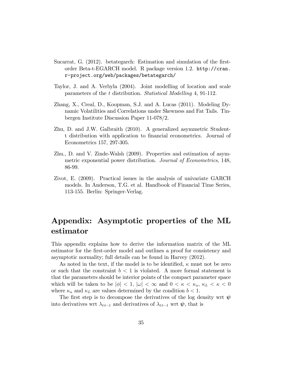- Sucarrat, G. (2012). betategarch: Estimation and simulation of the firstorder Beta-t-EGARCH model. R package version 1.2. http://cran. r-project.org/web/packages/betategarch/
- Taylor, J. and A. Verbyla (2004). Joint modelling of location and scale parameters of the t distribution. Statistical Modelling 4, 91-112.
- Zhang, X., Creal, D., Koopman, S.J. and A. Lucas (2011). Modeling Dynamic Volatilities and Correlations under Skewness and Fat Tails. Tinbergen Institute Discussion Paper 11-078/2.
- Zhu, D. and J.W. Galbraith (2010). A generalized asymmetric Studentt distribution with application to financial econometrics. Journal of Econometrics 157, 297-305.
- Zhu., D. and V. Zinde-Walsh (2009). Properties and estimation of asymmetric exponential power distribution. *Journal of Econometrics*, 148, 86-99.
- Zivot, E. (2009). Practical issues in the analysis of univariate GARCH models. In Anderson, T.G. et al. Handbook of Financial Time Series, 113-155. Berlin: Springer-Verlag.

## Appendix: Asymptotic properties of the ML estimator

This appendix explains how to derive the information matrix of the ML estimator for the first-order model and outlines a proof for consistency and asymptotic normality; full details can be found in Harvey (2012).

As noted in the text, if the model is to be identified,  $\kappa$  must not be zero or such that the constraint  $b < 1$  is violated. A more formal statement is that the parameters should be interior points of the compact parameter space which will be taken to be  $|\phi| < 1$ ,  $|\omega| < \infty$  and  $0 < \kappa < \kappa_u$ ,  $\kappa_L < \kappa < 0$ where  $\kappa_u$  and  $\kappa_L$  are values determined by the condition  $b < 1$ .

The first step is to decompose the derivatives of the log density wrt  $\psi$ into derivatives wrt  $\lambda_{tt-1}$  and derivatives of  $\lambda_{tt-1}$  wrt  $\psi$ , that is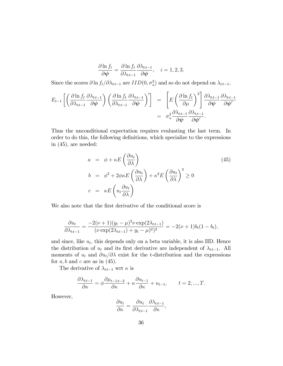$$
\frac{\partial \ln f_t}{\partial \boldsymbol{\psi}} = \frac{\partial \ln f_t}{\partial \lambda_{tt-1}} \frac{\partial \lambda_{tt-1}}{\partial \boldsymbol{\psi}}, \quad i = 1, 2, 3.
$$

Since the scores  $\partial \ln f_t / \partial \lambda_{tt-1}$  are  $IID(0, \sigma_u^2)$  and so do not depend on  $\lambda_{tt-1}$ ,

$$
E_{t-1}\left[\left(\frac{\partial \ln f_t}{\partial \lambda_{tt-1}}\frac{\partial \lambda_{tt-1}}{\partial \psi}\right)\left(\frac{\partial \ln f_t}{\partial \lambda_{tt-1}}\frac{\partial \lambda_{tt-1}}{\partial \psi}\right)'\right] = \left[E\left(\frac{\partial \ln f_t}{\partial \mu}\right)^2\right] \frac{\partial \lambda_{tt-1}}{\partial \psi}\frac{\partial \lambda_{tt-1}}{\partial \psi'}\frac{\partial \lambda_{tt-1}}{\partial \psi'}\frac{\partial \lambda_{tt-1}}{\partial \psi'}.
$$

Thus the unconditional expectation requires evaluating the last term. In order to do this, the following definitions, which specialize to the expressions in (45), are needed:

$$
a = \phi + \kappa E \left( \frac{\partial u_t}{\partial \lambda} \right)
$$
  
\n
$$
b = \phi^2 + 2\phi \kappa E \left( \frac{\partial u_t}{\partial \lambda} \right) + \kappa^2 E \left( \frac{\partial u_t}{\partial \lambda} \right)^2 \ge 0
$$
  
\n
$$
c = \kappa E \left( u_t \frac{\partial u_t}{\partial \lambda} \right)
$$
\n(45)

We also note that the first derivative of the conditional score is

$$
\frac{\partial u_t}{\partial \lambda_{tt-1}} = \frac{-2(\nu+1)(y_t - \mu)^2 \nu \exp(2\lambda_{tt-1})}{(\nu \exp(2\lambda_{tt-1}) + y_t - \mu)^2)^2} = -2(\nu+1)b_t(1-b_t),
$$

and since, like  $u_t$ , this depends only on a beta variable, it is also IID. Hence the distribution of  $u_t$  and its first derivative are independent of  $\lambda_{tt-1}$ . All moments of  $u_t$  and  $\partial u_t/\partial \lambda$  exist for the t-distribution and the expressions for  $a, b$  and  $c$  are as in (45).

The derivative of  $\lambda_{t:t-1}$  wrt  $\kappa$  is

$$
\frac{\partial \lambda_{t:t-1}}{\partial \kappa} = \phi \frac{\partial \mu_{t-1:t-2}}{\partial \kappa} + \kappa \frac{\partial u_{t-1}}{\partial \kappa} + u_{t-1}, \qquad t = 2, ..., T.
$$

However,

$$
\frac{\partial u_t}{\partial \kappa} = \frac{\partial u_t}{\partial \lambda_{t:t-1}} \frac{\partial \lambda_{t:t-1}}{\partial \kappa},
$$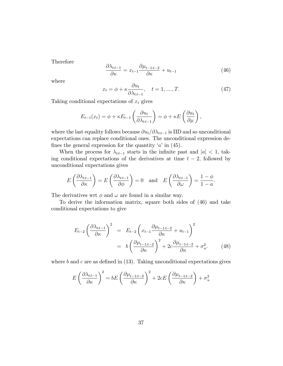Therefore

$$
\frac{\partial \lambda_{t:t-1}}{\partial \kappa} = x_{t-1} \frac{\partial \mu_{t-1:t-2}}{\partial \kappa} + u_{t-1} \tag{46}
$$

where

$$
x_t = \phi + \kappa \frac{\partial u_t}{\partial \lambda_{tt-1}}, \quad t = 1, \dots, T. \tag{47}
$$

Taking conditional expectations of  $x_t$  gives

$$
E_{t-1}(x_t) = \phi + \kappa E_{t-1}\left(\frac{\partial u_t}{\partial \lambda_{t} - 1}\right) = \phi + \kappa E\left(\frac{\partial u_t}{\partial \mu}\right),
$$

where the last equality follows because  $\partial u_t/\partial \lambda_{tt-1}$  is IID and so unconditional expectations can replace conditional ones. The unconditional expression defines the general expression for the quantity  $a'$  in (45).

When the process for  $\lambda_{tt-1}$  starts in the infinite past and  $|a| < 1$ , taking conditional expectations of the derivatives at time  $t - 2$ , followed by unconditional expectations gives

$$
E\left(\frac{\partial \lambda_{tt-1}}{\partial \kappa}\right) = E\left(\frac{\partial \lambda_{tt-1}}{\partial \phi}\right) = 0 \text{ and } E\left(\frac{\partial \lambda_{tt-1}}{\partial \omega}\right) = \frac{1-\phi}{1-a}.
$$

The derivatives wrt  $\phi$  and  $\omega$  are found in a similar way.

To derive the information matrix, square both sides of (46) and take conditional expectations to give

$$
E_{t-2} \left(\frac{\partial \lambda_{tt-1}}{\partial \kappa}\right)^2 = E_{t-2} \left(x_{t-1} \frac{\partial \mu_{t-1:t-2}}{\partial \kappa} + u_{t-1}\right)^2
$$
  
=  $b \left(\frac{\partial \mu_{t-1:t-2}}{\partial \kappa}\right)^2 + 2c \frac{\partial \mu_{t-1:t-2}}{\partial \kappa} + \sigma_u^2.$  (48)

where  $b$  and  $c$  are as defined in (13). Taking unconditional expectations gives

$$
E\left(\frac{\partial \lambda_{tt-1}}{\partial \kappa}\right)^2 = bE\left(\frac{\partial \mu_{t-1,t-2}}{\partial \kappa}\right)^2 + 2cE\left(\frac{\partial \mu_{t-1,t-2}}{\partial \kappa}\right) + \sigma_u^2
$$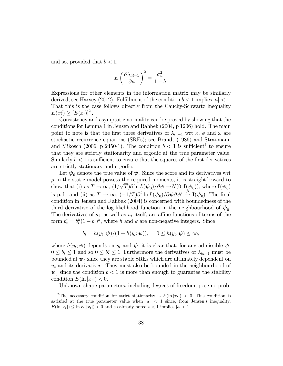and so, provided that  $b < 1$ ,

$$
E\left(\frac{\partial \lambda_{t:t-1}}{\partial \kappa}\right)^2 = \frac{\sigma_u^2}{1-b}.
$$

Expressions for other elements in the information matrix may be similarly derived; see Harvey (2012). Fulfillment of the condition  $b < 1$  implies  $|a| < 1$ . That this is the case follows directly from the Cauchy-Schwartz inequality  $E(x_t^2) \ge [E(x_t)]^2$ .

Consistency and asymptotic normality can be proved by showing that the conditions for Lemma 1 in Jensen and Rahbek (2004, p 1206) hold. The main point to note is that the first three derivatives of  $\lambda_{tt-1}$  wrt  $\kappa, \phi$  and  $\omega$  are stochastic recurrence equations (SREs); see Brandt (1986) and Straumann and Mikosch (2006, p 2450-1). The condition  $b < 1$  is sufficient<sup>7</sup> to ensure that they are strictly stationarity and ergodic at the true parameter value. Similarly  $b < 1$  is sufficient to ensure that the squares of the first derivatives are strictly stationary and ergodic.

Let  $\psi_0$  denote the true value of  $\psi$ . Since the score and its derivatives wrt  $\mu$  in the static model possess the required moments, it is straightforward to show that (i) as  $T \to \infty$ ,  $(1/\sqrt{T}) \partial \ln L(\psi_0) / \partial \psi \to N(0, I(\psi_0))$ , where  $I(\psi_0)$ is p.d. and (ii) as  $T \to \infty$ ,  $(-1/T)\partial^2 \ln L(\psi_0) / \partial \psi \partial \psi' \stackrel{P}{\to} \mathbf{I}(\psi_0)$ . The final condition in Jensen and Rahbek (2004) is concerned with boundedness of the third derivative of the log-likelihood function in the neighbourhood of  $\psi_0$ . The derivatives of  $u_t$ , as well as  $u_t$  itself, are affine functions of terms of the form  $b_t^* = b_t^h (1 - b_t)^k$ , where h and k are non-negative integers. Since

$$
b_t = h(y_t; \boldsymbol{\psi})/(1 + h(y_t; \boldsymbol{\psi})), \quad 0 \le h(y_t; \boldsymbol{\psi}) \le \infty,
$$

where  $h(y_t; \psi)$  depends on  $y_t$  and  $\psi$ , it is clear that, for any admissible  $\psi$ ,  $0 \leq b_t \leq 1$  and so  $0 \leq b_t^* \leq 1$ . Furthermore the derivatives of  $\lambda_{tt-1}$  must be bounded at  $\psi_0$  since they are stable SREs which are ultimately dependent on  $u_t$  and its derivatives. They must also be bounded in the neighbourhood of  $\psi_0$  since the condition  $b < 1$  is more than enough to guarantee the stability condition  $E(\ln |x_t|) < 0$ .

Unknown shape parameters, including degrees of freedom, pose no prob-

<sup>&</sup>lt;sup>7</sup>The necessary condition for strict stationarity is  $E(\ln |x_t|) < 0$ . This condition is satisfied at the true parameter value when  $|a| < 1$  since, from Jensen's inequality,  $E(\ln |x_t|) \leq \ln E(|x_t|) < 0$  and as already noted  $b < 1$  implies  $|a| < 1$ .